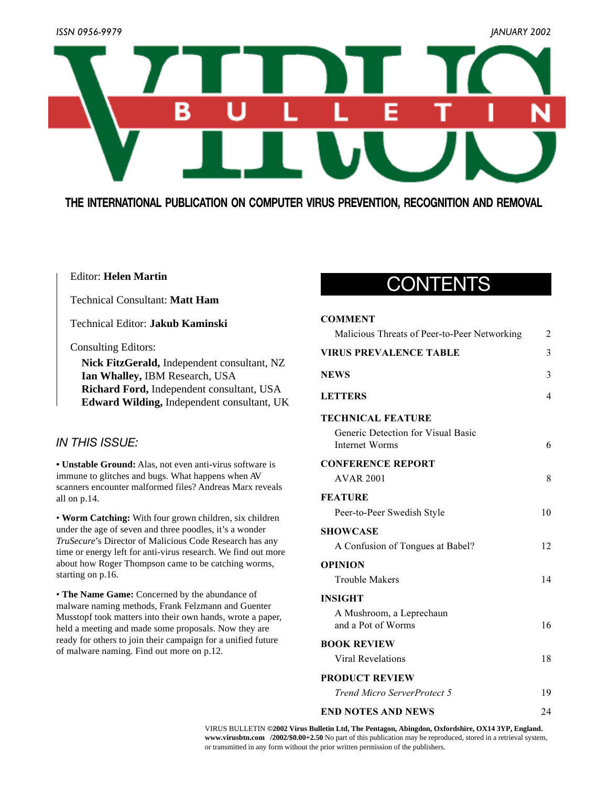

**THE INTERNATIONAL PUBLICATION ON COMPUTER VIRUS PREVENTION, RECOGNITION AND REMOVAL**

### Editor: **Helen Martin**

Technical Consultant: **Matt Ham**

Technical Editor: **Jakub Kaminski**

Consulting Editors:

**Nick FitzGerald,** Independent consultant, NZ **Ian Whalley,** IBM Research, USA **Richard Ford,** Independent consultant, USA **Edward Wilding,** Independent consultant, UK

### *IN THIS ISSUE:*

**• Unstable Ground:** Alas, not even anti-virus software is immune to glitches and bugs. What happens when AV scanners encounter malformed files? Andreas Marx reveals all on p.14.

• **Worm Catching:** With four grown children, six children under the age of seven and three poodles, it's a wonder *TruSecure*'s Director of Malicious Code Research has any time or energy left for anti-virus research. We find out more about how Roger Thompson came to be catching worms, starting on p.16.

• **The Name Game:** Concerned by the abundance of malware naming methods, Frank Felzmann and Guenter Musstopf took matters into their own hands, wrote a paper, held a meeting and made some proposals. Now they are ready for others to join their campaign for a unified future of malware naming. Find out more on p.12.

# CONTENTS

### **COMMENT**

| Malicious Threats of Peer-to-Peer Networking                | 2  |
|-------------------------------------------------------------|----|
| <b>VIRUS PREVALENCE TABLE</b>                               | 3  |
| <b>NEWS</b>                                                 | 3  |
| <b>LETTERS</b>                                              | 4  |
| <b>TECHNICAL FEATURE</b>                                    |    |
| Generic Detection for Visual Basic<br><b>Internet Worms</b> | 6  |
| <b>CONFERENCE REPORT</b>                                    |    |
| <b>AVAR 2001</b>                                            | 8  |
| <b>FEATURE</b>                                              |    |
| Peer-to-Peer Swedish Style                                  | 10 |
| <b>SHOWCASE</b>                                             |    |
| A Confusion of Tongues at Babel?                            | 12 |
| <b>OPINION</b>                                              |    |
| <b>Trouble Makers</b>                                       | 14 |
| <b>INSIGHT</b>                                              |    |
| A Mushroom, a Leprechaun<br>and a Pot of Worms              | 16 |
| <b>BOOK REVIEW</b>                                          |    |
| Viral Revelations                                           | 18 |
| <b>PRODUCT REVIEW</b>                                       |    |
| Trend Micro ServerProtect 5                                 | 19 |
| <b>END NOTES AND NEWS</b>                                   | 24 |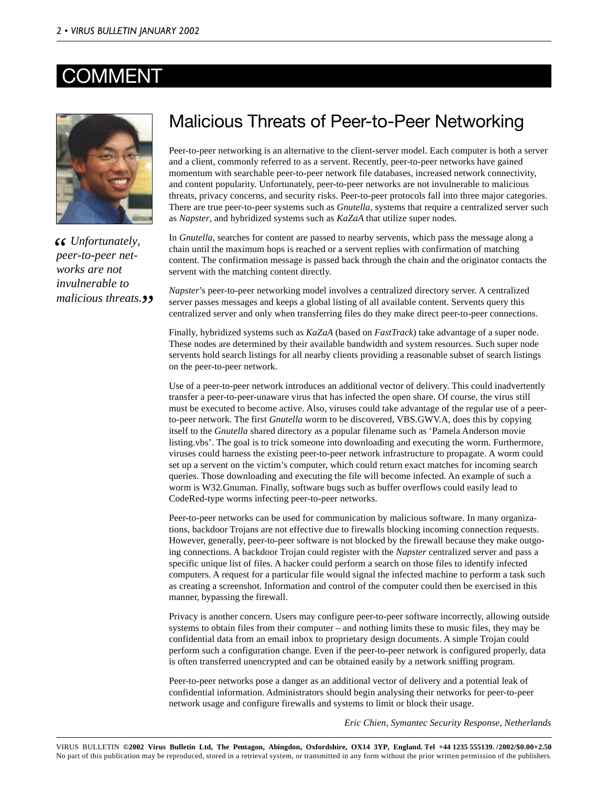### COMMEN



*<u>S</u>* Unfortunately, peer-to-peer net*peer-to-peer networks are not invulnerable to* malicious threats.**<sup>99</sup>** 

### Malicious Threats of Peer-to-Peer Networking

Peer-to-peer networking is an alternative to the client-server model. Each computer is both a server and a client, commonly referred to as a servent. Recently, peer-to-peer networks have gained momentum with searchable peer-to-peer network file databases, increased network connectivity, and content popularity. Unfortunately, peer-to-peer networks are not invulnerable to malicious threats, privacy concerns, and security risks. Peer-to-peer protocols fall into three major categories. There are true peer-to-peer systems such as *Gnutella*, systems that require a centralized server such as *Napster*, and hybridized systems such as *KaZaA* that utilize super nodes.

In *Gnutella*, searches for content are passed to nearby servents, which pass the message along a chain until the maximum hops is reached or a servent replies with confirmation of matching content. The confirmation message is passed back through the chain and the originator contacts the servent with the matching content directly.

*Napster*'s peer-to-peer networking model involves a centralized directory server. A centralized server passes messages and keeps a global listing of all available content. Servents query this centralized server and only when transferring files do they make direct peer-to-peer connections.

Finally, hybridized systems such as *KaZaA* (based on *FastTrack*) take advantage of a super node. These nodes are determined by their available bandwidth and system resources. Such super node servents hold search listings for all nearby clients providing a reasonable subset of search listings on the peer-to-peer network.

Use of a peer-to-peer network introduces an additional vector of delivery. This could inadvertently transfer a peer-to-peer-unaware virus that has infected the open share. Of course, the virus still must be executed to become active. Also, viruses could take advantage of the regular use of a peerto-peer network. The first *Gnutella* worm to be discovered, VBS.GWV.A, does this by copying itself to the *Gnutella* shared directory as a popular filename such as 'Pamela Anderson movie listing.vbs'. The goal is to trick someone into downloading and executing the worm. Furthermore, viruses could harness the existing peer-to-peer network infrastructure to propagate. A worm could set up a servent on the victim's computer, which could return exact matches for incoming search queries. Those downloading and executing the file will become infected. An example of such a worm is W32.Gnuman. Finally, software bugs such as buffer overflows could easily lead to CodeRed-type worms infecting peer-to-peer networks.

Peer-to-peer networks can be used for communication by malicious software. In many organizations, backdoor Trojans are not effective due to firewalls blocking incoming connection requests. However, generally, peer-to-peer software is not blocked by the firewall because they make outgoing connections. A backdoor Trojan could register with the *Napster* centralized server and pass a specific unique list of files. A hacker could perform a search on those files to identify infected computers. A request for a particular file would signal the infected machine to perform a task such as creating a screenshot. Information and control of the computer could then be exercised in this manner, bypassing the firewall.

Privacy is another concern. Users may configure peer-to-peer software incorrectly, allowing outside systems to obtain files from their computer – and nothing limits these to music files, they may be confidential data from an email inbox to proprietary design documents. A simple Trojan could perform such a configuration change. Even if the peer-to-peer network is configured properly, data is often transferred unencrypted and can be obtained easily by a network sniffing program.

Peer-to-peer networks pose a danger as an additional vector of delivery and a potential leak of confidential information. Administrators should begin analysing their networks for peer-to-peer network usage and configure firewalls and systems to limit or block their usage.

*Eric Chien, Symantec Security Response, Netherlands*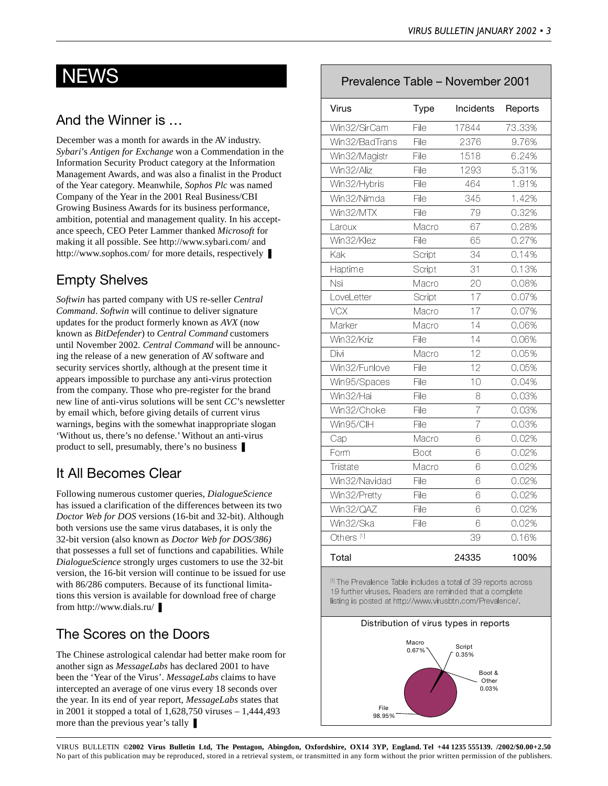### And the Winner is …

December was a month for awards in the AV industry. *Sybari*'s *Antigen for Exchange* won a Commendation in the Information Security Product category at the Information Management Awards, and was also a finalist in the Product of the Year category. Meanwhile, *Sophos Plc* was named Company of the Year in the 2001 Real Business/CBI Growing Business Awards for its business performance, ambition, potential and management quality. In his acceptance speech, CEO Peter Lammer thanked *Microsoft* for making it all possible. See http://www.sybari.com/ and http://www.sophos.com/ for more details, respectively  $\blacksquare$ 

### Empty Shelves

*Softwin* has parted company with US re-seller *Central Command*. *Softwin* will continue to deliver signature updates for the product formerly known as *AVX* (now known as *BitDefender*) to *Central Command* customers until November 2002. *Central Command* will be announcing the release of a new generation of AV software and security services shortly, although at the present time it appears impossible to purchase any anti-virus protection from the company. Those who pre-register for the brand new line of anti-virus solutions will be sent *CC*'s newsletter by email which, before giving details of current virus warnings, begins with the somewhat inappropriate slogan 'Without us, there's no defense.' Without an anti-virus product to sell, presumably, there's no business ❚

### It All Becomes Clear

Following numerous customer queries, *DialogueScience* has issued a clarification of the differences between its two *Doctor Web for DOS* versions (16-bit and 32-bit). Although both versions use the same virus databases, it is only the 32-bit version (also known as *Doctor Web for DOS/386)* that possesses a full set of functions and capabilities. While *DialogueScience* strongly urges customers to use the 32-bit version, the 16-bit version will continue to be issued for use with 86/286 computers. Because of its functional limitations this version is available for download free of charge from http://www.dials.ru/

### The Scores on the Doors

The Chinese astrological calendar had better make room for another sign as *MessageLabs* has declared 2001 to have been the 'Year of the Virus'. *MessageLabs* claims to have intercepted an average of one virus every 18 seconds over the year. In its end of year report, *MessageLabs* states that in 2001 it stopped a total of 1,628,750 viruses – 1,444,493 more than the previous year's tally ■

### NEWS Prevalence Table – November 2001

| Virus                 | <b>Type</b> | Incidents      | Reports |
|-----------------------|-------------|----------------|---------|
| Win32/SirCam          | File        | 17844          | 73.33%  |
| Win32/BadTrans        | File        | 2376           | 9.76%   |
| Win32/Magistr         | File        | 1518           | 6.24%   |
| Win32/Aliz            | File        | 1293           | 5.31%   |
| Win32/Hybris          | File        | 464            | 1.91%   |
| Win32/Nimda           | File        | 345            | 1.42%   |
| Win32/MTX             | File        | 79             | 0.32%   |
| Laroux                | Macro       | 67             | 0.28%   |
| Win32/Klez            | File        | 65             | 0.27%   |
| Kak                   | Script      | 34             | 0.14%   |
| Haptime               | Script      | 31             | 0.13%   |
| Nsi                   | Macro       | 20             | 0.08%   |
| LoveLetter            | Script      | 17             | 0.07%   |
| VCX                   | Macro       | 17             | 0.07%   |
| Marker                | Macro       | 14             | 0.06%   |
| Win32/Kriz            | File        | 14             | 0.06%   |
| Divi                  | Macro       | 12             | 0.05%   |
| Win32/Funlove         | File        | 12             | 0.05%   |
| Win95/Spaces          | File        | 10             | 0.04%   |
| Win32/Hai             | File        | 8              | 0.03%   |
| Win32/Choke           | File        | $\overline{7}$ | 0.03%   |
| Win95/ClH             | File        | $\overline{7}$ | 0.03%   |
| Cap                   | Macro       | 6              | 0.02%   |
| Form                  | Boot        | 6              | 0.02%   |
| Tristate              | Macro       | 6              | 0.02%   |
| Win32/Navidad         | File        | 6              | 0.02%   |
| Win32/Pretty          | File        | 6              | 0.02%   |
| Win32/QAZ             | File        | 6              | 0.02%   |
| Win32/Ska             | File        | 6              | 0.02%   |
| Others <sup>[1]</sup> |             | 39             | 0.16%   |
| Total                 |             | 24335          | 100%    |

[1] The Prevalence Table includes a total of 39 reports across 19 further viruses. Readers are reminded that a complete listing is posted at http://www.virusbtn.com/Prevalence/.

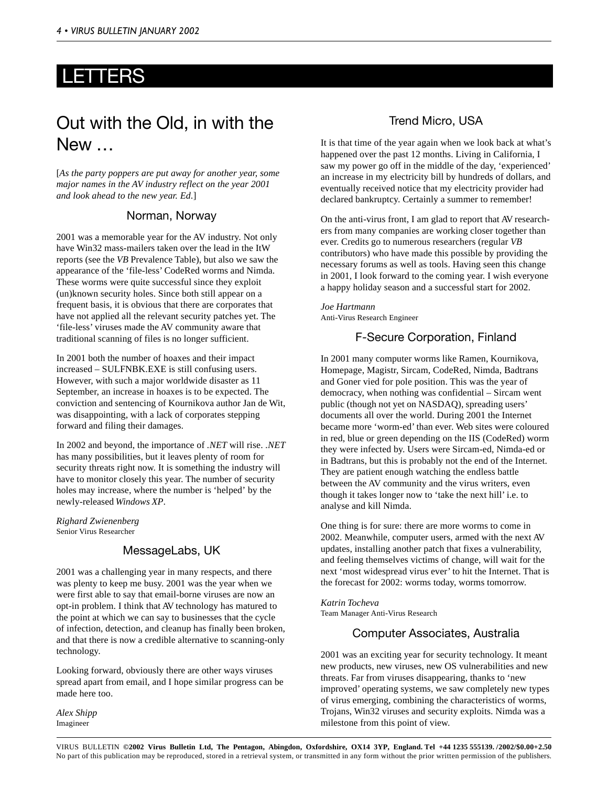### LETTERS

# Out with the Old, in with the New …

[*As the party poppers are put away for another year, some major names in the AV industry reflect on the year 2001 and look ahead to the new year. Ed*.]

### Norman, Norway

2001 was a memorable year for the AV industry. Not only have Win32 mass-mailers taken over the lead in the ItW reports (see the *VB* Prevalence Table), but also we saw the appearance of the 'file-less' CodeRed worms and Nimda. These worms were quite successful since they exploit (un)known security holes. Since both still appear on a frequent basis, it is obvious that there are corporates that have not applied all the relevant security patches yet. The 'file-less' viruses made the AV community aware that traditional scanning of files is no longer sufficient.

In 2001 both the number of hoaxes and their impact increased – SULFNBK.EXE is still confusing users. However, with such a major worldwide disaster as 11 September, an increase in hoaxes is to be expected. The conviction and sentencing of Kournikova author Jan de Wit, was disappointing, with a lack of corporates stepping forward and filing their damages.

In 2002 and beyond, the importance of *.NET* will rise. *.NET* has many possibilities, but it leaves plenty of room for security threats right now. It is something the industry will have to monitor closely this year. The number of security holes may increase, where the number is 'helped' by the newly-released *Windows XP*.

*Righard Zwienenberg* Senior Virus Researcher

### MessageLabs, UK

2001 was a challenging year in many respects, and there was plenty to keep me busy. 2001 was the year when we were first able to say that email-borne viruses are now an opt-in problem. I think that AV technology has matured to the point at which we can say to businesses that the cycle of infection, detection, and cleanup has finally been broken, and that there is now a credible alternative to scanning-only technology.

Looking forward, obviously there are other ways viruses spread apart from email, and I hope similar progress can be made here too.

*Alex Shipp* Imagineer

### Trend Micro, USA

It is that time of the year again when we look back at what's happened over the past 12 months. Living in California, I saw my power go off in the middle of the day, 'experienced' an increase in my electricity bill by hundreds of dollars, and eventually received notice that my electricity provider had declared bankruptcy. Certainly a summer to remember!

On the anti-virus front, I am glad to report that AV researchers from many companies are working closer together than ever. Credits go to numerous researchers (regular *VB* contributors) who have made this possible by providing the necessary forums as well as tools. Having seen this change in 2001, I look forward to the coming year. I wish everyone a happy holiday season and a successful start for 2002.

*Joe Hartmann* Anti-Virus Research Engineer

### F-Secure Corporation, Finland

In 2001 many computer worms like Ramen, Kournikova, Homepage, Magistr, Sircam, CodeRed, Nimda, Badtrans and Goner vied for pole position. This was the year of democracy, when nothing was confidential – Sircam went public (though not yet on NASDAQ), spreading users' documents all over the world. During 2001 the Internet became more 'worm-ed' than ever. Web sites were coloured in red, blue or green depending on the IIS (CodeRed) worm they were infected by. Users were Sircam-ed, Nimda-ed or in Badtrans, but this is probably not the end of the Internet. They are patient enough watching the endless battle between the AV community and the virus writers, even though it takes longer now to 'take the next hill' i.e. to analyse and kill Nimda.

One thing is for sure: there are more worms to come in 2002. Meanwhile, computer users, armed with the next AV updates, installing another patch that fixes a vulnerability, and feeling themselves victims of change, will wait for the next 'most widespread virus ever' to hit the Internet. That is the forecast for 2002: worms today, worms tomorrow.

*Katrin Tocheva* Team Manager Anti-Virus Research

### Computer Associates, Australia

2001 was an exciting year for security technology. It meant new products, new viruses, new OS vulnerabilities and new threats. Far from viruses disappearing, thanks to 'new improved' operating systems, we saw completely new types of virus emerging, combining the characteristics of worms, Trojans, Win32 viruses and security exploits. Nimda was a milestone from this point of view.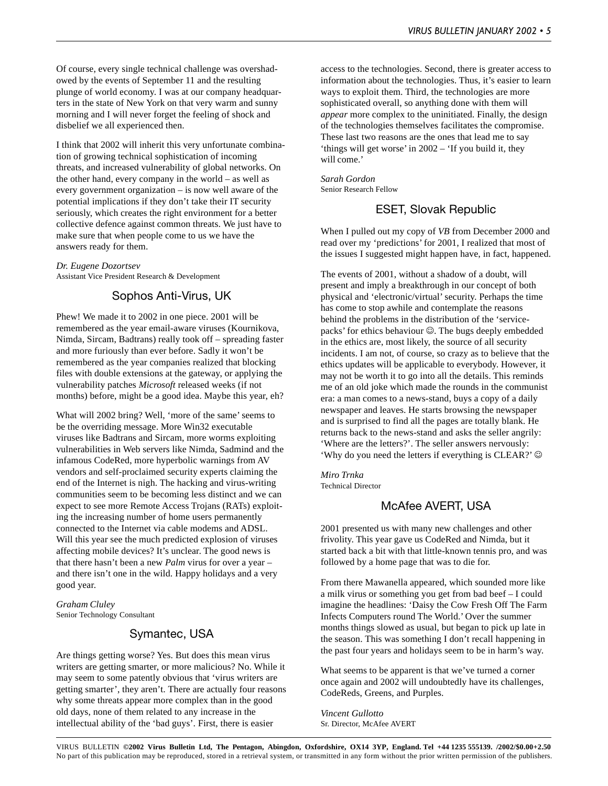Of course, every single technical challenge was overshadowed by the events of September 11 and the resulting plunge of world economy. I was at our company headquarters in the state of New York on that very warm and sunny morning and I will never forget the feeling of shock and disbelief we all experienced then.

I think that 2002 will inherit this very unfortunate combination of growing technical sophistication of incoming threats, and increased vulnerability of global networks. On the other hand, every company in the world – as well as every government organization – is now well aware of the potential implications if they don't take their IT security seriously, which creates the right environment for a better collective defence against common threats. We just have to make sure that when people come to us we have the answers ready for them.

*Dr. Eugene Dozortsev* Assistant Vice President Research & Development

### Sophos Anti-Virus, UK

Phew! We made it to 2002 in one piece. 2001 will be remembered as the year email-aware viruses (Kournikova, Nimda, Sircam, Badtrans) really took off – spreading faster and more furiously than ever before. Sadly it won't be remembered as the year companies realized that blocking files with double extensions at the gateway, or applying the vulnerability patches *Microsoft* released weeks (if not months) before, might be a good idea. Maybe this year, eh?

What will 2002 bring? Well, 'more of the same' seems to be the overriding message. More Win32 executable viruses like Badtrans and Sircam, more worms exploiting vulnerabilities in Web servers like Nimda, Sadmind and the infamous CodeRed, more hyperbolic warnings from AV vendors and self-proclaimed security experts claiming the end of the Internet is nigh. The hacking and virus-writing communities seem to be becoming less distinct and we can expect to see more Remote Access Trojans (RATs) exploiting the increasing number of home users permanently connected to the Internet via cable modems and ADSL. Will this year see the much predicted explosion of viruses affecting mobile devices? It's unclear. The good news is that there hasn't been a new *Palm* virus for over a year – and there isn't one in the wild. Happy holidays and a very good year.

*Graham Cluley* Senior Technology Consultant

### Symantec, USA

Are things getting worse? Yes. But does this mean virus writers are getting smarter, or more malicious? No. While it may seem to some patently obvious that 'virus writers are getting smarter', they aren't. There are actually four reasons why some threats appear more complex than in the good old days, none of them related to any increase in the intellectual ability of the 'bad guys'. First, there is easier

access to the technologies. Second, there is greater access to information about the technologies. Thus, it's easier to learn ways to exploit them. Third, the technologies are more sophisticated overall, so anything done with them will *appear* more complex to the uninitiated. Finally, the design of the technologies themselves facilitates the compromise. These last two reasons are the ones that lead me to say 'things will get worse' in 2002 – 'If you build it, they will come.'

*Sarah Gordon* Senior Research Fellow

### ESET, Slovak Republic

When I pulled out my copy of *VB* from December 2000 and read over my 'predictions' for 2001, I realized that most of the issues I suggested might happen have, in fact, happened.

The events of 2001, without a shadow of a doubt, will present and imply a breakthrough in our concept of both physical and 'electronic/virtual' security. Perhaps the time has come to stop awhile and contemplate the reasons behind the problems in the distribution of the 'servicepacks' for ethics behaviour  $\odot$ . The bugs deeply embedded in the ethics are, most likely, the source of all security incidents. I am not, of course, so crazy as to believe that the ethics updates will be applicable to everybody. However, it may not be worth it to go into all the details. This reminds me of an old joke which made the rounds in the communist era: a man comes to a news-stand, buys a copy of a daily newspaper and leaves. He starts browsing the newspaper and is surprised to find all the pages are totally blank. He returns back to the news-stand and asks the seller angrily: 'Where are the letters?'. The seller answers nervously: 'Why do you need the letters if everything is CLEAR?'  $\circledcirc$ 

*Miro Trnka* Technical Director

### McAfee AVERT, USA

2001 presented us with many new challenges and other frivolity. This year gave us CodeRed and Nimda, but it started back a bit with that little-known tennis pro, and was followed by a home page that was to die for.

From there Mawanella appeared, which sounded more like a milk virus or something you get from bad beef – I could imagine the headlines: 'Daisy the Cow Fresh Off The Farm Infects Computers round The World.' Over the summer months things slowed as usual, but began to pick up late in the season. This was something I don't recall happening in the past four years and holidays seem to be in harm's way.

What seems to be apparent is that we've turned a corner once again and 2002 will undoubtedly have its challenges, CodeReds, Greens, and Purples.

*Vincent Gullotto* Sr. Director, McAfee AVERT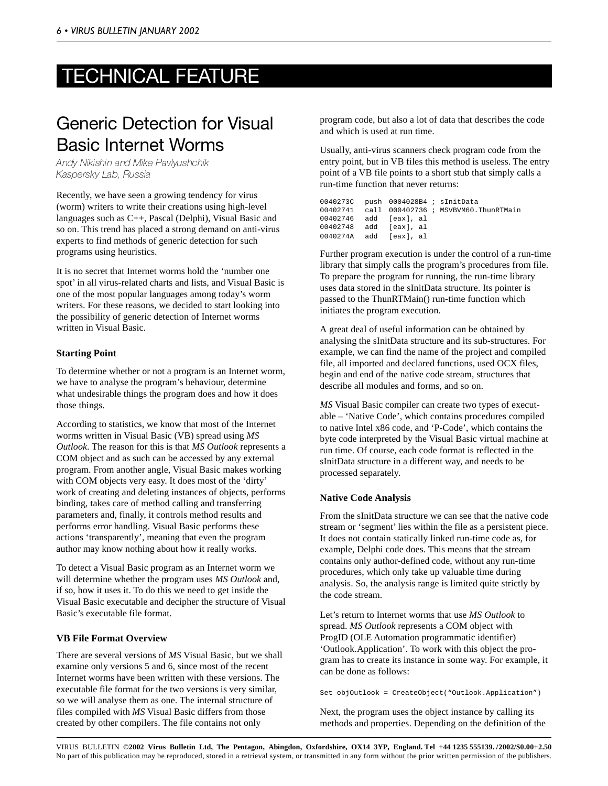# TECHNICAL FEATURE

# Generic Detection for Visual Basic Internet Worms

Andy Nikishin and Mike Pavlyushchik Kaspersky Lab, Russia

Recently, we have seen a growing tendency for virus (worm) writers to write their creations using high-level languages such as C++, Pascal (Delphi), Visual Basic and so on. This trend has placed a strong demand on anti-virus experts to find methods of generic detection for such programs using heuristics.

It is no secret that Internet worms hold the 'number one spot' in all virus-related charts and lists, and Visual Basic is one of the most popular languages among today's worm writers. For these reasons, we decided to start looking into the possibility of generic detection of Internet worms written in Visual Basic.

#### **Starting Point**

To determine whether or not a program is an Internet worm, we have to analyse the program's behaviour, determine what undesirable things the program does and how it does those things.

According to statistics, we know that most of the Internet worms written in Visual Basic (VB) spread using *MS Outlook*. The reason for this is that *MS Outlook* represents a COM object and as such can be accessed by any external program. From another angle, Visual Basic makes working with COM objects very easy. It does most of the 'dirty' work of creating and deleting instances of objects, performs binding, takes care of method calling and transferring parameters and, finally, it controls method results and performs error handling. Visual Basic performs these actions 'transparently', meaning that even the program author may know nothing about how it really works.

To detect a Visual Basic program as an Internet worm we will determine whether the program uses *MS Outlook* and, if so, how it uses it. To do this we need to get inside the Visual Basic executable and decipher the structure of Visual Basic's executable file format.

#### **VB File Format Overview**

There are several versions of *MS* Visual Basic, but we shall examine only versions 5 and 6, since most of the recent Internet worms have been written with these versions. The executable file format for the two versions is very similar, so we will analyse them as one. The internal structure of files compiled with *MS* Visual Basic differs from those created by other compilers. The file contains not only

program code, but also a lot of data that describes the code and which is used at run time.

Usually, anti-virus scanners check program code from the entry point, but in VB files this method is useless. The entry point of a VB file points to a short stub that simply calls a run-time function that never returns:

|  | 0040273C push 0004028B4; sInitData |                                              |
|--|------------------------------------|----------------------------------------------|
|  |                                    | 00402741 call 000402736; MSVBVM60.ThunRTMain |
|  | 00402746 add [eax],al              |                                              |
|  | 00402748 add [eax], al             |                                              |
|  | 0040274A add [eaxl.al              |                                              |

Further program execution is under the control of a run-time library that simply calls the program's procedures from file. To prepare the program for running, the run-time library uses data stored in the sInitData structure. Its pointer is passed to the ThunRTMain() run-time function which initiates the program execution.

A great deal of useful information can be obtained by analysing the sInitData structure and its sub-structures. For example, we can find the name of the project and compiled file, all imported and declared functions, used OCX files, begin and end of the native code stream, structures that describe all modules and forms, and so on.

*MS* Visual Basic compiler can create two types of executable – 'Native Code', which contains procedures compiled to native Intel x86 code, and 'P-Code', which contains the byte code interpreted by the Visual Basic virtual machine at run time. Of course, each code format is reflected in the sInitData structure in a different way, and needs to be processed separately.

#### **Native Code Analysis**

From the sInitData structure we can see that the native code stream or 'segment' lies within the file as a persistent piece. It does not contain statically linked run-time code as, for example, Delphi code does. This means that the stream contains only author-defined code, without any run-time procedures, which only take up valuable time during analysis. So, the analysis range is limited quite strictly by the code stream.

Let's return to Internet worms that use *MS Outlook* to spread. *MS Outlook* represents a COM object with ProgID (OLE Automation programmatic identifier) 'Outlook.Application'. To work with this object the program has to create its instance in some way. For example, it can be done as follows:

Set objOutlook = CreateObject("Outlook.Application")

Next, the program uses the object instance by calling its methods and properties. Depending on the definition of the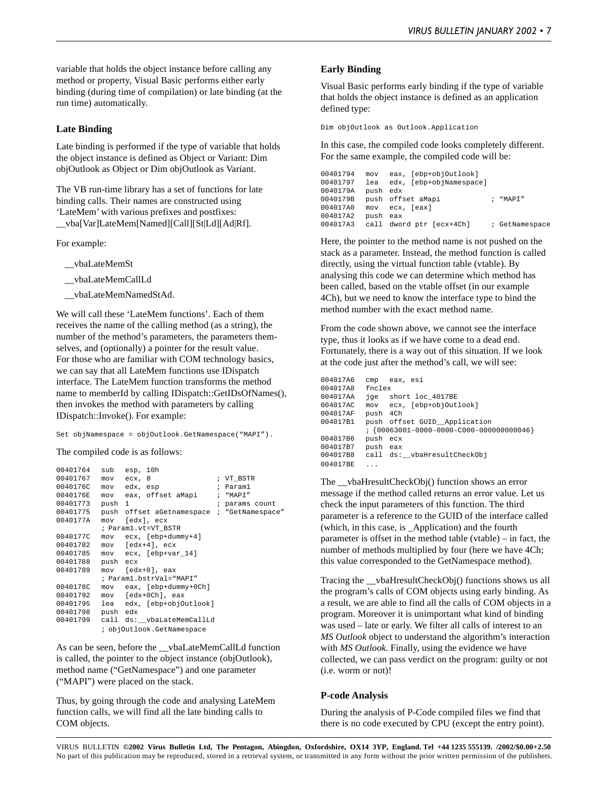variable that holds the object instance before calling any method or property, Visual Basic performs either early binding (during time of compilation) or late binding (at the run time) automatically.

#### **Late Binding**

Late binding is performed if the type of variable that holds the object instance is defined as Object or Variant: Dim objOutlook as Object or Dim objOutlook as Variant.

The VB run-time library has a set of functions for late binding calls. Their names are constructed using 'LateMem' with various prefixes and postfixes: \_\_vba[Var]LateMem[Named][Call][St|Ld][Ad|Rf].

For example:

- \_\_vbaLateMemSt
- \_\_vbaLateMemCallLd
- \_\_vbaLateMemNamedStAd.

We will call these 'LateMem functions'. Each of them receives the name of the calling method (as a string), the number of the method's parameters, the parameters themselves, and (optionally) a pointer for the result value. For those who are familiar with COM technology basics, we can say that all LateMem functions use IDispatch interface. The LateMem function transforms the method name to memberId by calling IDispatch::GetIDsOfNames(), then invokes the method with parameters by calling IDispatch::Invoke(). For example:

Set objNamespace = objOutlook.GetNamespace("MAPI").

The compiled code is as follows:

| 00401764 | sub      | esp, 10h   |                                            |                |
|----------|----------|------------|--------------------------------------------|----------------|
| 00401767 |          | mov ecx, 8 |                                            | ; VT BSTR      |
| 0040176C | mov      | edx, esp   |                                            | ; Paraml       |
| 0040176E | mov      |            | eax, offset aMapi                          | ; "MAPI"       |
| 00401773 | push     | -1         |                                            | ; params count |
| 00401775 |          |            | push offset aGetnamespace ; "GetNamespace" |                |
| 0040177A | mov      |            | [edx], ecx                                 |                |
|          |          |            | ; Param1.vt=VT_BSTR                        |                |
| 0040177C |          |            | mov ecx, [ebp+dummy+4]                     |                |
| 00401782 |          |            | $mov$ [edx+4], ecx                         |                |
| 00401785 |          |            | mov ecx, [ebp+var 14]                      |                |
| 00401788 | push ecx |            |                                            |                |
| 00401789 | mov      |            | $[edx+8]$ , eax                            |                |
|          |          |            | ; Paraml.bstrVal="MAPI"                    |                |
| 0040178C |          |            | mov eax, [ebp+dummy+0Ch]                   |                |
| 00401792 |          |            | mov [edx+0Ch], eax                         |                |
| 00401795 |          |            | lea edx, [ebp+objOutlook]                  |                |
| 00401798 | push edx |            |                                            |                |
| 00401799 |          |            | call ds:__vbaLateMemCallLd                 |                |
|          |          |            | ; objOutlook.GetNamespace                  |                |

As can be seen, before the vbaLateMemCallLd function is called, the pointer to the object instance (objOutlook), method name ("GetNamespace") and one parameter ("MAPI") were placed on the stack.

Thus, by going through the code and analysing LateMem function calls, we will find all the late binding calls to COM objects.

#### **Early Binding**

Visual Basic performs early binding if the type of variable that holds the object instance is defined as an application defined type:

Dim objOutlook as Outlook.Application

In this case, the compiled code looks completely different. For the same example, the compiled code will be:

| 00401794 |          | mov eax, [ebp+objOutlook] |                |
|----------|----------|---------------------------|----------------|
| 00401797 | lea      | edx, [ebp+objNamespace]   |                |
| 0040179A | push edx |                           |                |
| 0040179B |          | push offset aMapi         | $;$ "MAPT"     |
| 004017A0 |          | mov ecx, [eax]            |                |
| 004017A2 | push eax |                           |                |
| 004017A3 |          | call dword ptr [ecx+4Ch]  | ; GetNamespace |

Here, the pointer to the method name is not pushed on the stack as a parameter. Instead, the method function is called directly, using the virtual function table (vtable). By analysing this code we can determine which method has been called, based on the vtable offset (in our example 4Ch), but we need to know the interface type to bind the method number with the exact method name.

From the code shown above, we cannot see the interface type, thus it looks as if we have come to a dead end. Fortunately, there is a way out of this situation. If we look at the code just after the method's call, we will see:

```
004017A6 cmp eax, esi
004017A8 fnclex<br>004017A8 ige s
          jge short loc_4017BE
004017AC mov ecx, [ebp+objOutlook]
004017AF push 4Ch
004017B1 push offset GUID__Application
          : \{00063001 - 0000 - 0000 - 0000 - 0000000000046\}004017B6 push ecx
004017B7 push eax
004017B8 call ds:__vbaHresultCheckObj
004017BE ...
```
The \_\_vbaHresultCheckObj() function shows an error message if the method called returns an error value. Let us check the input parameters of this function. The third parameter is a reference to the GUID of the interface called (which, in this case, is \_Application) and the fourth parameter is offset in the method table (vtable) – in fact, the number of methods multiplied by four (here we have 4Ch; this value corresponded to the GetNamespace method).

Tracing the \_\_vbaHresultCheckObj() functions shows us all the program's calls of COM objects using early binding. As a result, we are able to find all the calls of COM objects in a program. Moreover it is unimportant what kind of binding was used – late or early. We filter all calls of interest to an *MS Outlook* object to understand the algorithm's interaction with *MS Outlook*. Finally, using the evidence we have collected, we can pass verdict on the program: guilty or not (i.e. worm or not)!

#### **P-code Analysis**

During the analysis of P-Code compiled files we find that there is no code executed by CPU (except the entry point).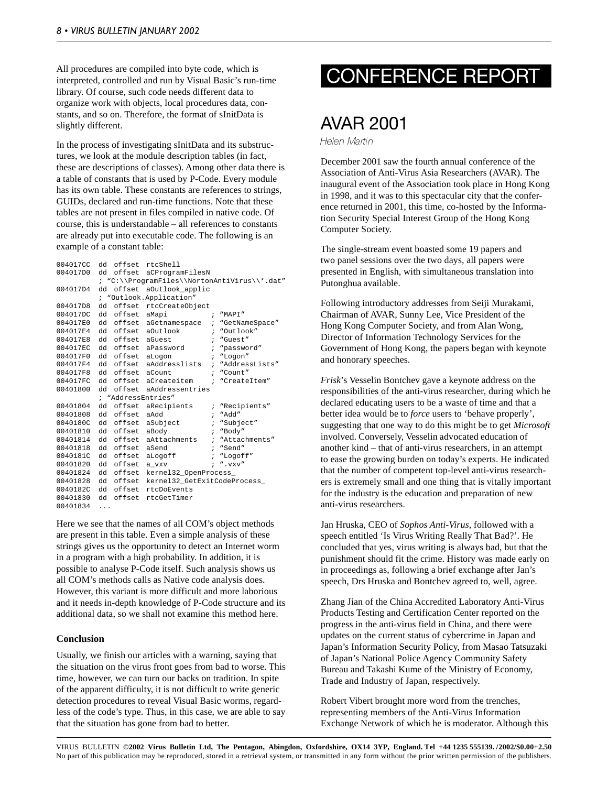All procedures are compiled into byte code, which is interpreted, controlled and run by Visual Basic's run-time library. Of course, such code needs different data to organize work with objects, local procedures data, constants, and so on. Therefore, the format of sInitData is slightly different.

In the process of investigating sInitData and its substructures, we look at the module description tables (in fact, these are descriptions of classes). Among other data there is a table of constants that is used by P-Code. Every module has its own table. These constants are references to strings, GUIDs, declared and run-time functions. Note that these tables are not present in files compiled in native code. Of course, this is understandable – all references to constants are already put into executable code. The following is an example of a constant table:

| 004017CC | dd |                    | offset rtcShell             |              |                                              |
|----------|----|--------------------|-----------------------------|--------------|----------------------------------------------|
| 004017D0 | dd |                    | offset aCProgramFilesN      |              |                                              |
|          |    |                    |                             |              | ; "C:\\ProqramFiles\\NortonAntiVirus\\*.dat" |
| 004017D4 | dd |                    | offset aOutlook applic      |              |                                              |
|          |    |                    | ; "Outlook.Application"     |              |                                              |
| 004017D8 | dd |                    | offset rtcCreateObject      |              |                                              |
| 004017DC | dd | offset             | aMapi                       | $\ddot{i}$   | "MAPI"                                       |
| 004017E0 | hb | offset             | aGetnamespace               |              | ; "GetNameSpace"                             |
| 004017E4 | dd |                    | offset aOutlook             | $\mathbf{r}$ | "Outlook"                                    |
| 004017E8 | dd | offset aGuest      |                             |              | ; "Guest"                                    |
| 004017EC | hb | offset             | aPassword                   |              | ; "password"                                 |
| 004017F0 | dd | offset             | aLogon                      | $\mathbf{r}$ | "Logon"                                      |
| 004017F4 | hb | offset             | aAddresslists               |              | ; "AddressLists"                             |
| 004017F8 | dd | offset aCount      |                             | $\mathbf{r}$ | "Count"                                      |
| 004017FC | dd |                    | offset aCreateitem ;        |              | "CreateItem"                                 |
| 00401800 | hb | offset             | aAddressentries             |              |                                              |
|          |    | ; "AddressEntries" |                             |              |                                              |
| 00401804 | dd |                    | offset aRecipients          |              | ; "Recipients"                               |
| 00401808 | dd | offset             | aAdd                        | $\ddot{i}$   | "Add"                                        |
| 0040180C | dd | offset             | aSubject                    |              | ; "Subject"                                  |
| 00401810 | dd | offset             | aBody                       |              | ; "Body"                                     |
| 00401814 | dd | offset             | aAttachments                |              | ; "Attachments"                              |
| 00401818 | dd | offset             | aSend                       |              | ; "Send"                                     |
| 0040181C | dd | offset             | aLoqoff                     |              | ; "Logoff"                                   |
| 00401820 | dd | offset             | a vxv                       |              | $i$ ". $vxv$ "                               |
| 00401824 | dd | offset             | kernel32 OpenProcess        |              |                                              |
| 00401828 | dd | offset             | kernel32 GetExitCodeProcess |              |                                              |
| 0040182C | hb | offset             | rtcDoEvents                 |              |                                              |
| 00401830 |    | dd offset          | rtcGetTimer                 |              |                                              |
| 00401834 | .  |                    |                             |              |                                              |

Here we see that the names of all COM's object methods are present in this table. Even a simple analysis of these strings gives us the opportunity to detect an Internet worm in a program with a high probability. In addition, it is possible to analyse P-Code itself. Such analysis shows us all COM's methods calls as Native code analysis does. However, this variant is more difficult and more laborious and it needs in-depth knowledge of P-Code structure and its additional data, so we shall not examine this method here.

#### **Conclusion**

Usually, we finish our articles with a warning, saying that the situation on the virus front goes from bad to worse. This time, however, we can turn our backs on tradition. In spite of the apparent difficulty, it is not difficult to write generic detection procedures to reveal Visual Basic worms, regardless of the code's type. Thus, in this case, we are able to say that the situation has gone from bad to better.

# CONFERENCE REPORT

### AVAR 2001

Helen Martin

December 2001 saw the fourth annual conference of the Association of Anti-Virus Asia Researchers (AVAR). The inaugural event of the Association took place in Hong Kong in 1998, and it was to this spectacular city that the conference returned in 2001, this time, co-hosted by the Information Security Special Interest Group of the Hong Kong Computer Society.

The single-stream event boasted some 19 papers and two panel sessions over the two days, all papers were presented in English, with simultaneous translation into Putonghua available.

Following introductory addresses from Seiji Murakami, Chairman of AVAR, Sunny Lee, Vice President of the Hong Kong Computer Society, and from Alan Wong, Director of Information Technology Services for the Government of Hong Kong, the papers began with keynote and honorary speeches.

*Frisk*'s Vesselin Bontchev gave a keynote address on the responsibilities of the anti-virus researcher, during which he declared educating users to be a waste of time and that a better idea would be to *force* users to 'behave properly', suggesting that one way to do this might be to get *Microsoft* involved. Conversely, Vesselin advocated education of another kind – that of anti-virus researchers, in an attempt to ease the growing burden on today's experts. He indicated that the number of competent top-level anti-virus researchers is extremely small and one thing that is vitally important for the industry is the education and preparation of new anti-virus researchers.

Jan Hruska, CEO of *Sophos Anti-Virus*, followed with a speech entitled 'Is Virus Writing Really That Bad?'. He concluded that yes, virus writing is always bad, but that the punishment should fit the crime. History was made early on in proceedings as, following a brief exchange after Jan's speech, Drs Hruska and Bontchev agreed to, well, agree.

Zhang Jian of the China Accredited Laboratory Anti-Virus Products Testing and Certification Center reported on the progress in the anti-virus field in China, and there were updates on the current status of cybercrime in Japan and Japan's Information Security Policy, from Masao Tatsuzaki of Japan's National Police Agency Community Safety Bureau and Takashi Kume of the Ministry of Economy, Trade and Industry of Japan, respectively.

Robert Vibert brought more word from the trenches, representing members of the Anti-Virus Information Exchange Network of which he is moderator. Although this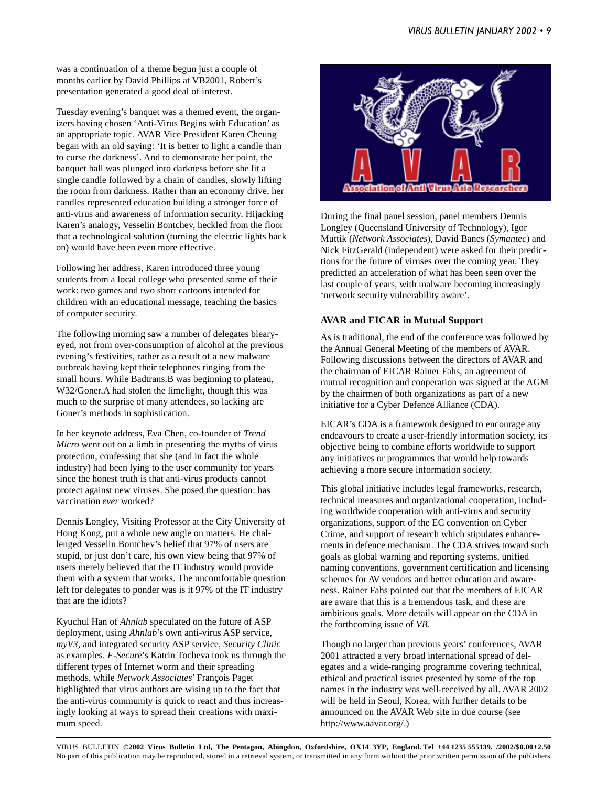was a continuation of a theme begun just a couple of months earlier by David Phillips at VB2001, Robert's presentation generated a good deal of interest.

Tuesday evening's banquet was a themed event, the organizers having chosen 'Anti-Virus Begins with Education' as an appropriate topic. AVAR Vice President Karen Cheung began with an old saying: 'It is better to light a candle than to curse the darkness'. And to demonstrate her point, the banquet hall was plunged into darkness before she lit a single candle followed by a chain of candles, slowly lifting the room from darkness. Rather than an economy drive, her candles represented education building a stronger force of anti-virus and awareness of information security. Hijacking Karen's analogy, Vesselin Bontchev, heckled from the floor that a technological solution (turning the electric lights back on) would have been even more effective.

Following her address, Karen introduced three young students from a local college who presented some of their work: two games and two short cartoons intended for children with an educational message, teaching the basics of computer security.

The following morning saw a number of delegates blearyeyed, not from over-consumption of alcohol at the previous evening's festivities, rather as a result of a new malware outbreak having kept their telephones ringing from the small hours. While Badtrans.B was beginning to plateau, W32/Goner.A had stolen the limelight, though this was much to the surprise of many attendees, so lacking are Goner's methods in sophistication.

In her keynote address, Eva Chen, co-founder of *Trend Micro* went out on a limb in presenting the myths of virus protection, confessing that she (and in fact the whole industry) had been lying to the user community for years since the honest truth is that anti-virus products cannot protect against new viruses. She posed the question: has vaccination *ever* worked?

Dennis Longley, Visiting Professor at the City University of Hong Kong, put a whole new angle on matters. He challenged Vesselin Bontchev's belief that 97% of users are stupid, or just don't care, his own view being that 97% of users merely believed that the IT industry would provide them with a system that works. The uncomfortable question left for delegates to ponder was is it 97% of the IT industry that are the idiots?

Kyuchul Han of *Ahnlab* speculated on the future of ASP deployment, using *Ahnlab*'s own anti-virus ASP service, *myV3*, and integrated security ASP service, *Security Clinic* as examples. *F-Secure*'s Katrin Tocheva took us through the different types of Internet worm and their spreading methods, while *Network Associates*' François Paget highlighted that virus authors are wising up to the fact that the anti-virus community is quick to react and thus increasingly looking at ways to spread their creations with maximum speed.



During the final panel session, panel members Dennis Longley (Queensland University of Technology), Igor Muttik (*Network Associates*), David Banes (*Symantec*) and Nick FitzGerald (independent) were asked for their predictions for the future of viruses over the coming year. They predicted an acceleration of what has been seen over the last couple of years, with malware becoming increasingly 'network security vulnerability aware'.

#### **AVAR and EICAR in Mutual Support**

As is traditional, the end of the conference was followed by the Annual General Meeting of the members of AVAR. Following discussions between the directors of AVAR and the chairman of EICAR Rainer Fahs, an agreement of mutual recognition and cooperation was signed at the AGM by the chairmen of both organizations as part of a new initiative for a Cyber Defence Alliance (CDA).

EICAR's CDA is a framework designed to encourage any endeavours to create a user-friendly information society, its objective being to combine efforts worldwide to support any initiatives or programmes that would help towards achieving a more secure information society.

This global initiative includes legal frameworks, research, technical measures and organizational cooperation, including worldwide cooperation with anti-virus and security organizations, support of the EC convention on Cyber Crime, and support of research which stipulates enhancements in defence mechanism. The CDA strives toward such goals as global warning and reporting systems, unified naming conventions, government certification and licensing schemes for AV vendors and better education and awareness. Rainer Fahs pointed out that the members of EICAR are aware that this is a tremendous task, and these are ambitious goals. More details will appear on the CDA in the forthcoming issue of *VB*.

Though no larger than previous years' conferences, AVAR 2001 attracted a very broad international spread of delegates and a wide-ranging programme covering technical, ethical and practical issues presented by some of the top names in the industry was well-received by all. AVAR 2002 will be held in Seoul, Korea, with further details to be announced on the AVAR Web site in due course (see http://www.aavar.org/.)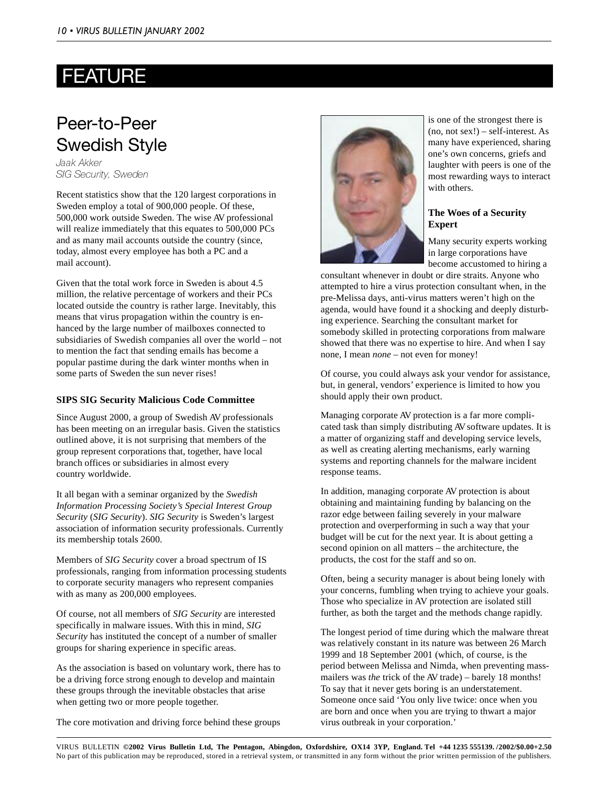# FEATURE

### Peer-to-Peer Swedish Style

Jaak Akker SIG Security, Sweden

Recent statistics show that the 120 largest corporations in Sweden employ a total of 900,000 people. Of these, 500,000 work outside Sweden. The wise AV professional will realize immediately that this equates to 500,000 PCs and as many mail accounts outside the country (since, today, almost every employee has both a PC and a mail account).

Given that the total work force in Sweden is about 4.5 million, the relative percentage of workers and their PCs located outside the country is rather large. Inevitably, this means that virus propagation within the country is enhanced by the large number of mailboxes connected to subsidiaries of Swedish companies all over the world – not to mention the fact that sending emails has become a popular pastime during the dark winter months when in some parts of Sweden the sun never rises!

#### **SIPS SIG Security Malicious Code Committee**

Since August 2000, a group of Swedish AV professionals has been meeting on an irregular basis. Given the statistics outlined above, it is not surprising that members of the group represent corporations that, together, have local branch offices or subsidiaries in almost every country worldwide.

It all began with a seminar organized by the *Swedish Information Processing Society's Special Interest Group Security* (*SIG Security*). *SIG Security* is Sweden's largest association of information security professionals. Currently its membership totals 2600.

Members of *SIG Security* cover a broad spectrum of IS professionals, ranging from information processing students to corporate security managers who represent companies with as many as 200,000 employees.

Of course, not all members of *SIG Security* are interested specifically in malware issues. With this in mind, *SIG Security* has instituted the concept of a number of smaller groups for sharing experience in specific areas.

As the association is based on voluntary work, there has to be a driving force strong enough to develop and maintain these groups through the inevitable obstacles that arise when getting two or more people together.

The core motivation and driving force behind these groups



is one of the strongest there is (no, not sex!) – self-interest. As many have experienced, sharing one's own concerns, griefs and laughter with peers is one of the most rewarding ways to interact with others.

#### **The Woes of a Security Expert**

Many security experts working in large corporations have become accustomed to hiring a

consultant whenever in doubt or dire straits. Anyone who attempted to hire a virus protection consultant when, in the pre-Melissa days, anti-virus matters weren't high on the agenda, would have found it a shocking and deeply disturbing experience. Searching the consultant market for somebody skilled in protecting corporations from malware showed that there was no expertise to hire. And when I say none, I mean *none* – not even for money!

Of course, you could always ask your vendor for assistance, but, in general, vendors' experience is limited to how you should apply their own product.

Managing corporate AV protection is a far more complicated task than simply distributing AV software updates. It is a matter of organizing staff and developing service levels, as well as creating alerting mechanisms, early warning systems and reporting channels for the malware incident response teams.

In addition, managing corporate AV protection is about obtaining and maintaining funding by balancing on the razor edge between failing severely in your malware protection and overperforming in such a way that your budget will be cut for the next year. It is about getting a second opinion on all matters – the architecture, the products, the cost for the staff and so on.

Often, being a security manager is about being lonely with your concerns, fumbling when trying to achieve your goals. Those who specialize in AV protection are isolated still further, as both the target and the methods change rapidly.

The longest period of time during which the malware threat was relatively constant in its nature was between 26 March 1999 and 18 September 2001 (which, of course, is the period between Melissa and Nimda, when preventing massmailers was *the* trick of the AV trade) – barely 18 months! To say that it never gets boring is an understatement. Someone once said 'You only live twice: once when you are born and once when you are trying to thwart a major virus outbreak in your corporation.'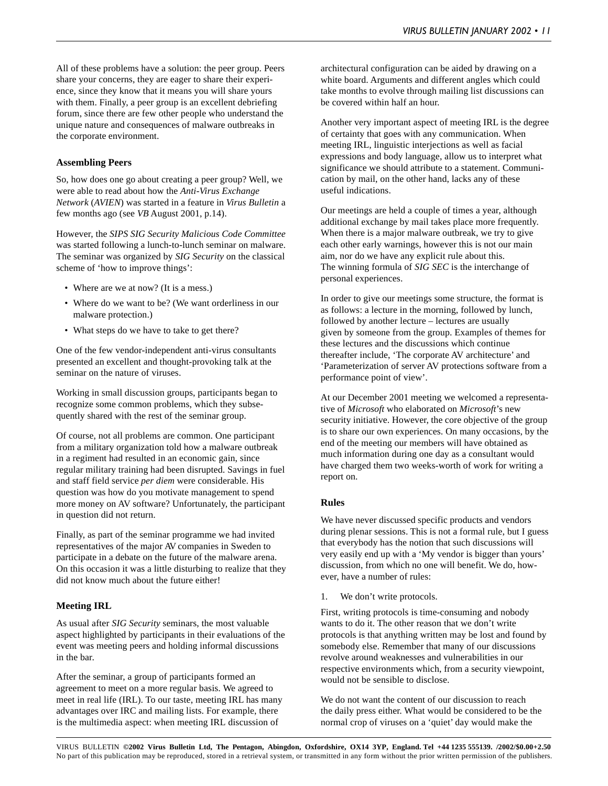All of these problems have a solution: the peer group. Peers share your concerns, they are eager to share their experience, since they know that it means you will share yours with them. Finally, a peer group is an excellent debriefing forum, since there are few other people who understand the unique nature and consequences of malware outbreaks in the corporate environment.

#### **Assembling Peers**

So, how does one go about creating a peer group? Well, we were able to read about how the *Anti-Virus Exchange Network* (*AVIEN*) was started in a feature in *Virus Bulletin* a few months ago (see *VB* August 2001, p.14).

However, the *SIPS SIG Security Malicious Code Committee* was started following a lunch-to-lunch seminar on malware. The seminar was organized by *SIG Security* on the classical scheme of 'how to improve things':

- Where are we at now? (It is a mess.)
- Where do we want to be? (We want orderliness in our malware protection.)
- What steps do we have to take to get there?

One of the few vendor-independent anti-virus consultants presented an excellent and thought-provoking talk at the seminar on the nature of viruses.

Working in small discussion groups, participants began to recognize some common problems, which they subsequently shared with the rest of the seminar group.

Of course, not all problems are common. One participant from a military organization told how a malware outbreak in a regiment had resulted in an economic gain, since regular military training had been disrupted. Savings in fuel and staff field service *per diem* were considerable. His question was how do you motivate management to spend more money on AV software? Unfortunately, the participant in question did not return.

Finally, as part of the seminar programme we had invited representatives of the major AV companies in Sweden to participate in a debate on the future of the malware arena. On this occasion it was a little disturbing to realize that they did not know much about the future either!

### **Meeting IRL**

As usual after *SIG Security* seminars, the most valuable aspect highlighted by participants in their evaluations of the event was meeting peers and holding informal discussions in the bar.

After the seminar, a group of participants formed an agreement to meet on a more regular basis. We agreed to meet in real life (IRL). To our taste, meeting IRL has many advantages over IRC and mailing lists. For example, there is the multimedia aspect: when meeting IRL discussion of

architectural configuration can be aided by drawing on a white board. Arguments and different angles which could take months to evolve through mailing list discussions can be covered within half an hour.

Another very important aspect of meeting IRL is the degree of certainty that goes with any communication. When meeting IRL, linguistic interjections as well as facial expressions and body language, allow us to interpret what significance we should attribute to a statement. Communication by mail, on the other hand, lacks any of these useful indications.

Our meetings are held a couple of times a year, although additional exchange by mail takes place more frequently. When there is a major malware outbreak, we try to give each other early warnings, however this is not our main aim, nor do we have any explicit rule about this. The winning formula of *SIG SEC* is the interchange of personal experiences.

In order to give our meetings some structure, the format is as follows: a lecture in the morning, followed by lunch, followed by another lecture – lectures are usually given by someone from the group. Examples of themes for these lectures and the discussions which continue thereafter include, 'The corporate AV architecture' and 'Parameterization of server AV protections software from a performance point of view'.

At our December 2001 meeting we welcomed a representative of *Microsoft* who elaborated on *Microsoft*'s new security initiative. However, the core objective of the group is to share our own experiences. On many occasions, by the end of the meeting our members will have obtained as much information during one day as a consultant would have charged them two weeks-worth of work for writing a report on.

#### **Rules**

We have never discussed specific products and vendors during plenar sessions. This is not a formal rule, but I guess that everybody has the notion that such discussions will very easily end up with a 'My vendor is bigger than yours' discussion, from which no one will benefit. We do, however, have a number of rules:

1. We don't write protocols.

First, writing protocols is time-consuming and nobody wants to do it. The other reason that we don't write protocols is that anything written may be lost and found by somebody else. Remember that many of our discussions revolve around weaknesses and vulnerabilities in our respective environments which, from a security viewpoint, would not be sensible to disclose.

We do not want the content of our discussion to reach the daily press either. What would be considered to be the normal crop of viruses on a 'quiet' day would make the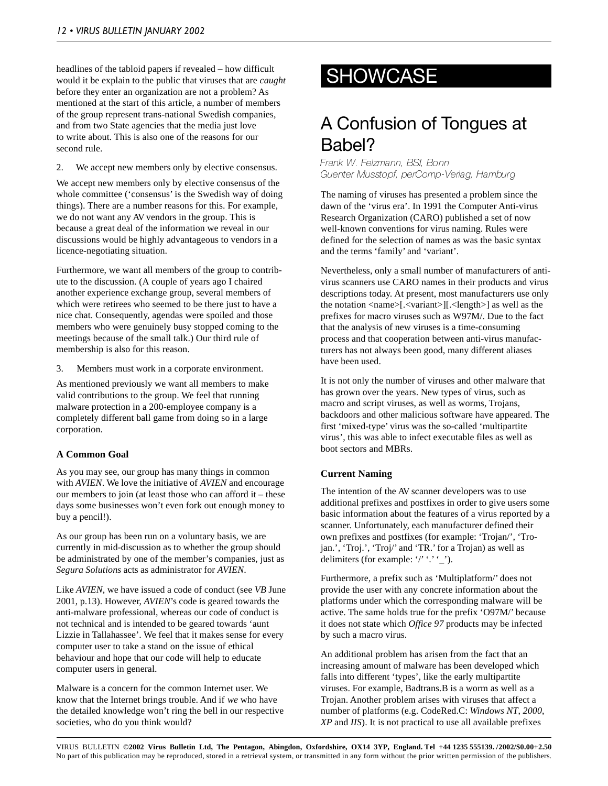headlines of the tabloid papers if revealed – how difficult<br>would it be explain to the public that viruses that are *caught* **SHOWCASE** would it be explain to the public that viruses that are *caught* before they enter an organization are not a problem? As mentioned at the start of this article, a number of members of the group represent trans-national Swedish companies, and from two State agencies that the media just love to write about. This is also one of the reasons for our second rule.

2. We accept new members only by elective consensus.

We accept new members only by elective consensus of the whole committee ('consensus' is the Swedish way of doing things). There are a number reasons for this. For example, we do not want any AV vendors in the group. This is because a great deal of the information we reveal in our discussions would be highly advantageous to vendors in a licence-negotiating situation.

Furthermore, we want all members of the group to contribute to the discussion. (A couple of years ago I chaired another experience exchange group, several members of which were retirees who seemed to be there just to have a nice chat. Consequently, agendas were spoiled and those members who were genuinely busy stopped coming to the meetings because of the small talk.) Our third rule of membership is also for this reason.

3. Members must work in a corporate environment.

As mentioned previously we want all members to make valid contributions to the group. We feel that running malware protection in a 200-employee company is a completely different ball game from doing so in a large corporation.

#### **A Common Goal**

As you may see, our group has many things in common with *AVIEN*. We love the initiative of *AVIEN* and encourage our members to join (at least those who can afford it – these days some businesses won't even fork out enough money to buy a pencil!).

As our group has been run on a voluntary basis, we are currently in mid-discussion as to whether the group should be administrated by one of the member's companies, just as *Segura Solutions* acts as administrator for *AVIEN*.

Like *AVIEN*, we have issued a code of conduct (see *VB* June 2001, p.13). However, *AVIEN*'s code is geared towards the anti-malware professional, whereas our code of conduct is not technical and is intended to be geared towards 'aunt Lizzie in Tallahassee'. We feel that it makes sense for every computer user to take a stand on the issue of ethical behaviour and hope that our code will help to educate computer users in general.

Malware is a concern for the common Internet user. We know that the Internet brings trouble. And if *we* who have the detailed knowledge won't ring the bell in our respective societies, who do you think would?

# A Confusion of Tongues at Babel?

Frank W. Felzmann, BSI, Bonn Guenter Musstopf, perComp-Verlag, Hamburg

The naming of viruses has presented a problem since the dawn of the 'virus era'. In 1991 the Computer Anti-virus Research Organization (CARO) published a set of now well-known conventions for virus naming. Rules were defined for the selection of names as was the basic syntax and the terms 'family' and 'variant'.

Nevertheless, only a small number of manufacturers of antivirus scanners use CARO names in their products and virus descriptions today. At present, most manufacturers use only the notation <name>[.<variant>][.<length>] as well as the prefixes for macro viruses such as W97M/. Due to the fact that the analysis of new viruses is a time-consuming process and that cooperation between anti-virus manufacturers has not always been good, many different aliases have been used.

It is not only the number of viruses and other malware that has grown over the years. New types of virus, such as macro and script viruses, as well as worms, Trojans, backdoors and other malicious software have appeared. The first 'mixed-type' virus was the so-called 'multipartite virus', this was able to infect executable files as well as boot sectors and MBRs.

#### **Current Naming**

The intention of the AV scanner developers was to use additional prefixes and postfixes in order to give users some basic information about the features of a virus reported by a scanner. Unfortunately, each manufacturer defined their own prefixes and postfixes (for example: 'Trojan/', 'Trojan.', 'Troj.', 'Troj/' and 'TR.' for a Trojan) as well as delimiters (for example: '/' '.' '\_').

Furthermore, a prefix such as 'Multiplatform/' does not provide the user with any concrete information about the platforms under which the corresponding malware will be active. The same holds true for the prefix 'O97M/' because it does not state which *Office 97* products may be infected by such a macro virus.

An additional problem has arisen from the fact that an increasing amount of malware has been developed which falls into different 'types', like the early multipartite viruses. For example, Badtrans.B is a worm as well as a Trojan. Another problem arises with viruses that affect a number of platforms (e.g. CodeRed.C: *Windows NT*, *2000*, *XP* and *IIS*). It is not practical to use all available prefixes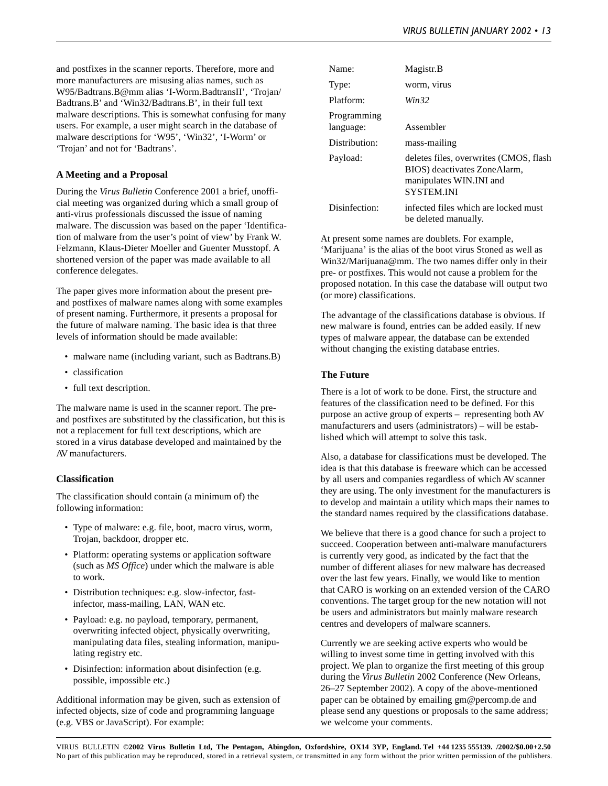and postfixes in the scanner reports. Therefore, more and more manufacturers are misusing alias names, such as W95/Badtrans.B@mm alias 'I-Worm.BadtransII', 'Trojan/ Badtrans.B' and 'Win32/Badtrans.B', in their full text malware descriptions. This is somewhat confusing for many users. For example, a user might search in the database of malware descriptions for 'W95', 'Win32', 'I-Worm' or 'Trojan' and not for 'Badtrans'.

#### **A Meeting and a Proposal**

During the *Virus Bulletin* Conference 2001 a brief, unofficial meeting was organized during which a small group of anti-virus professionals discussed the issue of naming malware. The discussion was based on the paper 'Identification of malware from the user's point of view' by Frank W. Felzmann, Klaus-Dieter Moeller and Guenter Musstopf. A shortened version of the paper was made available to all conference delegates.

The paper gives more information about the present preand postfixes of malware names along with some examples of present naming. Furthermore, it presents a proposal for the future of malware naming. The basic idea is that three levels of information should be made available:

- malware name (including variant, such as Badtrans.B)
- classification
- full text description.

The malware name is used in the scanner report. The preand postfixes are substituted by the classification, but this is not a replacement for full text descriptions, which are stored in a virus database developed and maintained by the AV manufacturers.

#### **Classification**

The classification should contain (a minimum of) the following information:

- Type of malware: e.g. file, boot, macro virus, worm, Trojan, backdoor, dropper etc.
- Platform: operating systems or application software (such as *MS Office*) under which the malware is able to work.
- Distribution techniques: e.g. slow-infector, fastinfector, mass-mailing, LAN, WAN etc.
- Payload: e.g. no payload, temporary, permanent, overwriting infected object, physically overwriting, manipulating data files, stealing information, manipulating registry etc.
- Disinfection: information about disinfection (e.g. possible, impossible etc.)

Additional information may be given, such as extension of infected objects, size of code and programming language (e.g. VBS or JavaScript). For example:

| Name:                    | Magistr.B                                                                                                              |
|--------------------------|------------------------------------------------------------------------------------------------------------------------|
| Type:                    | worm, virus                                                                                                            |
| Platform:                | Win32                                                                                                                  |
| Programming<br>language: | Assembler                                                                                                              |
| Distribution:            | mass-mailing                                                                                                           |
| Payload:                 | deletes files, overwrites (CMOS, flash<br>BIOS) deactivates ZoneAlarm,<br>manipulates WIN.INI and<br><b>SYSTEM INI</b> |
| Disinfection:            | infected files which are locked must<br>be deleted manually.                                                           |

At present some names are doublets. For example, 'Marijuana' is the alias of the boot virus Stoned as well as Win32/Marijuana@mm. The two names differ only in their pre- or postfixes. This would not cause a problem for the proposed notation. In this case the database will output two (or more) classifications.

The advantage of the classifications database is obvious. If new malware is found, entries can be added easily. If new types of malware appear, the database can be extended without changing the existing database entries.

#### **The Future**

There is a lot of work to be done. First, the structure and features of the classification need to be defined. For this purpose an active group of experts – representing both AV manufacturers and users (administrators) – will be established which will attempt to solve this task.

Also, a database for classifications must be developed. The idea is that this database is freeware which can be accessed by all users and companies regardless of which AV scanner they are using. The only investment for the manufacturers is to develop and maintain a utility which maps their names to the standard names required by the classifications database.

We believe that there is a good chance for such a project to succeed. Cooperation between anti-malware manufacturers is currently very good, as indicated by the fact that the number of different aliases for new malware has decreased over the last few years. Finally, we would like to mention that CARO is working on an extended version of the CARO conventions. The target group for the new notation will not be users and administrators but mainly malware research centres and developers of malware scanners.

Currently we are seeking active experts who would be willing to invest some time in getting involved with this project. We plan to organize the first meeting of this group during the *Virus Bulletin* 2002 Conference (New Orleans, 26–27 September 2002). A copy of the above-mentioned paper can be obtained by emailing gm@percomp.de and please send any questions or proposals to the same address; we welcome your comments.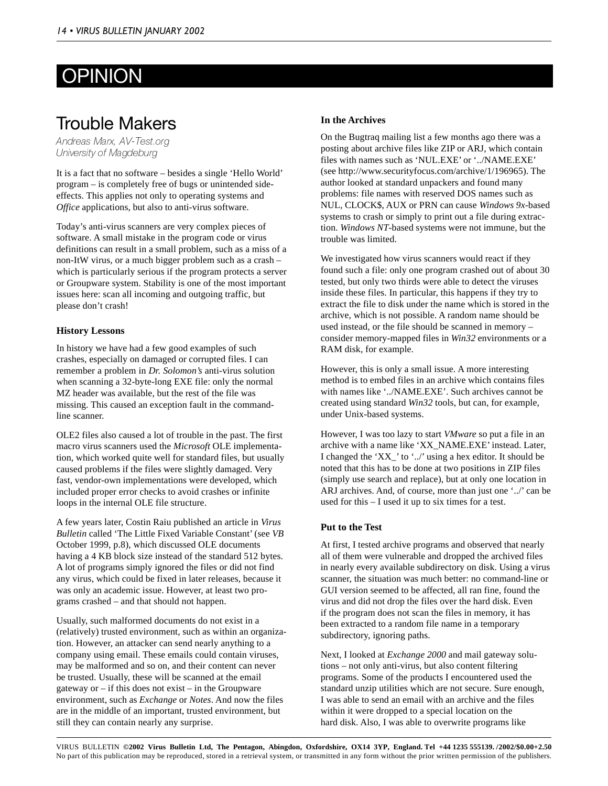# **OPINION**

### Trouble Makers

Andreas Marx, AV-Test.org University of Magdeburg

It is a fact that no software – besides a single 'Hello World' program – is completely free of bugs or unintended sideeffects. This applies not only to operating systems and *Office* applications, but also to anti-virus software.

Today's anti-virus scanners are very complex pieces of software. A small mistake in the program code or virus definitions can result in a small problem, such as a miss of a non-ItW virus, or a much bigger problem such as a crash – which is particularly serious if the program protects a server or Groupware system. Stability is one of the most important issues here: scan all incoming and outgoing traffic, but please don't crash!

#### **History Lessons**

In history we have had a few good examples of such crashes, especially on damaged or corrupted files. I can remember a problem in *Dr. Solomon's* anti-virus solution when scanning a 32-byte-long EXE file: only the normal MZ header was available, but the rest of the file was missing. This caused an exception fault in the commandline scanner.

OLE2 files also caused a lot of trouble in the past. The first macro virus scanners used the *Microsoft* OLE implementation, which worked quite well for standard files, but usually caused problems if the files were slightly damaged. Very fast, vendor-own implementations were developed, which included proper error checks to avoid crashes or infinite loops in the internal OLE file structure.

A few years later, Costin Raiu published an article in *Virus Bulletin* called 'The Little Fixed Variable Constant' (see *VB* October 1999, p.8), which discussed OLE documents having a 4 KB block size instead of the standard 512 bytes. A lot of programs simply ignored the files or did not find any virus, which could be fixed in later releases, because it was only an academic issue. However, at least two programs crashed – and that should not happen.

Usually, such malformed documents do not exist in a (relatively) trusted environment, such as within an organization. However, an attacker can send nearly anything to a company using email. These emails could contain viruses, may be malformed and so on, and their content can never be trusted. Usually, these will be scanned at the email gateway or  $-$  if this does not exist  $-$  in the Groupware environment, such as *Exchange* or *Notes*. And now the files are in the middle of an important, trusted environment, but still they can contain nearly any surprise.

#### **In the Archives**

On the Bugtraq mailing list a few months ago there was a posting about archive files like ZIP or ARJ, which contain files with names such as 'NUL.EXE' or '../NAME.EXE' (see http://www.securityfocus.com/archive/1/196965). The author looked at standard unpackers and found many problems: file names with reserved DOS names such as NUL, CLOCK\$, AUX or PRN can cause *Windows 9x*-based systems to crash or simply to print out a file during extraction. *Windows NT*-based systems were not immune, but the trouble was limited.

We investigated how virus scanners would react if they found such a file: only one program crashed out of about 30 tested, but only two thirds were able to detect the viruses inside these files. In particular, this happens if they try to extract the file to disk under the name which is stored in the archive, which is not possible. A random name should be used instead, or the file should be scanned in memory – consider memory-mapped files in *Win32* environments or a RAM disk, for example.

However, this is only a small issue. A more interesting method is to embed files in an archive which contains files with names like '../NAME.EXE'. Such archives cannot be created using standard *Win32* tools, but can, for example, under Unix-based systems.

However, I was too lazy to start *VMware* so put a file in an archive with a name like 'XX\_NAME.EXE' instead. Later, I changed the 'XX\_' to '../' using a hex editor. It should be noted that this has to be done at two positions in ZIP files (simply use search and replace), but at only one location in ARJ archives. And, of course, more than just one '../' can be used for this – I used it up to six times for a test.

#### **Put to the Test**

At first, I tested archive programs and observed that nearly all of them were vulnerable and dropped the archived files in nearly every available subdirectory on disk. Using a virus scanner, the situation was much better: no command-line or GUI version seemed to be affected, all ran fine, found the virus and did not drop the files over the hard disk. Even if the program does not scan the files in memory, it has been extracted to a random file name in a temporary subdirectory, ignoring paths.

Next, I looked at *Exchange 2000* and mail gateway solutions – not only anti-virus, but also content filtering programs. Some of the products I encountered used the standard unzip utilities which are not secure. Sure enough, I was able to send an email with an archive and the files within it were dropped to a special location on the hard disk. Also, I was able to overwrite programs like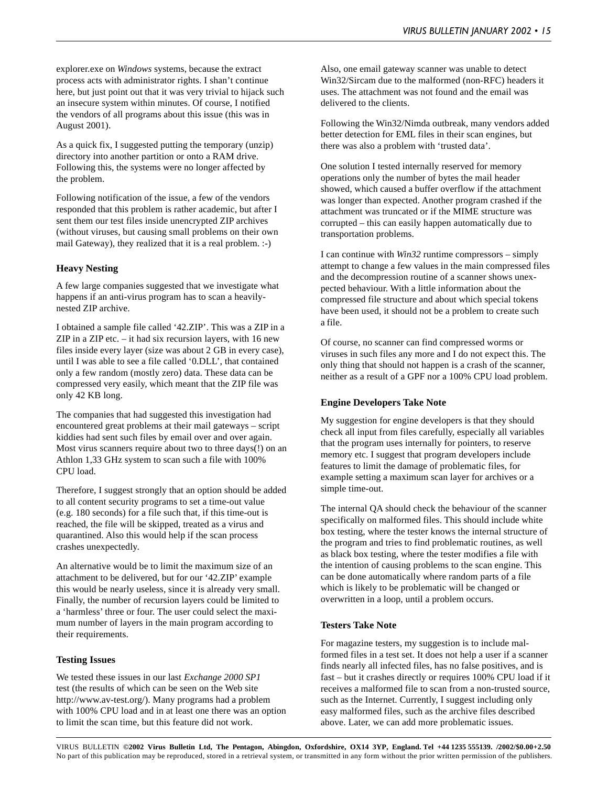explorer.exe on *Windows* systems, because the extract process acts with administrator rights. I shan't continue here, but just point out that it was very trivial to hijack such an insecure system within minutes. Of course, I notified the vendors of all programs about this issue (this was in August 2001).

As a quick fix, I suggested putting the temporary (unzip) directory into another partition or onto a RAM drive. Following this, the systems were no longer affected by the problem.

Following notification of the issue, a few of the vendors responded that this problem is rather academic, but after I sent them our test files inside unencrypted ZIP archives (without viruses, but causing small problems on their own mail Gateway), they realized that it is a real problem. :-)

#### **Heavy Nesting**

A few large companies suggested that we investigate what happens if an anti-virus program has to scan a heavilynested ZIP archive.

I obtained a sample file called '42.ZIP'. This was a ZIP in a ZIP in a ZIP etc.  $-$  it had six recursion layers, with 16 new files inside every layer (size was about 2 GB in every case), until I was able to see a file called '0.DLL', that contained only a few random (mostly zero) data. These data can be compressed very easily, which meant that the ZIP file was only 42 KB long.

The companies that had suggested this investigation had encountered great problems at their mail gateways – script kiddies had sent such files by email over and over again. Most virus scanners require about two to three days(!) on an Athlon 1,33 GHz system to scan such a file with 100% CPU load.

Therefore, I suggest strongly that an option should be added to all content security programs to set a time-out value (e.g. 180 seconds) for a file such that, if this time-out is reached, the file will be skipped, treated as a virus and quarantined. Also this would help if the scan process crashes unexpectedly.

An alternative would be to limit the maximum size of an attachment to be delivered, but for our '42.ZIP' example this would be nearly useless, since it is already very small. Finally, the number of recursion layers could be limited to a 'harmless' three or four. The user could select the maximum number of layers in the main program according to their requirements.

#### **Testing Issues**

We tested these issues in our last *Exchange 2000 SP1* test (the results of which can be seen on the Web site http://www.av-test.org/). Many programs had a problem with 100% CPU load and in at least one there was an option to limit the scan time, but this feature did not work.

Also, one email gateway scanner was unable to detect Win32/Sircam due to the malformed (non-RFC) headers it uses. The attachment was not found and the email was delivered to the clients.

Following the Win32/Nimda outbreak, many vendors added better detection for EML files in their scan engines, but there was also a problem with 'trusted data'.

One solution I tested internally reserved for memory operations only the number of bytes the mail header showed, which caused a buffer overflow if the attachment was longer than expected. Another program crashed if the attachment was truncated or if the MIME structure was corrupted – this can easily happen automatically due to transportation problems.

I can continue with *Win32* runtime compressors – simply attempt to change a few values in the main compressed files and the decompression routine of a scanner shows unexpected behaviour. With a little information about the compressed file structure and about which special tokens have been used, it should not be a problem to create such a file.

Of course, no scanner can find compressed worms or viruses in such files any more and I do not expect this. The only thing that should not happen is a crash of the scanner, neither as a result of a GPF nor a 100% CPU load problem.

#### **Engine Developers Take Note**

My suggestion for engine developers is that they should check all input from files carefully, especially all variables that the program uses internally for pointers, to reserve memory etc. I suggest that program developers include features to limit the damage of problematic files, for example setting a maximum scan layer for archives or a simple time-out.

The internal QA should check the behaviour of the scanner specifically on malformed files. This should include white box testing, where the tester knows the internal structure of the program and tries to find problematic routines, as well as black box testing, where the tester modifies a file with the intention of causing problems to the scan engine. This can be done automatically where random parts of a file which is likely to be problematic will be changed or overwritten in a loop, until a problem occurs.

#### **Testers Take Note**

For magazine testers, my suggestion is to include malformed files in a test set. It does not help a user if a scanner finds nearly all infected files, has no false positives, and is fast – but it crashes directly or requires 100% CPU load if it receives a malformed file to scan from a non-trusted source, such as the Internet. Currently, I suggest including only easy malformed files, such as the archive files described above. Later, we can add more problematic issues.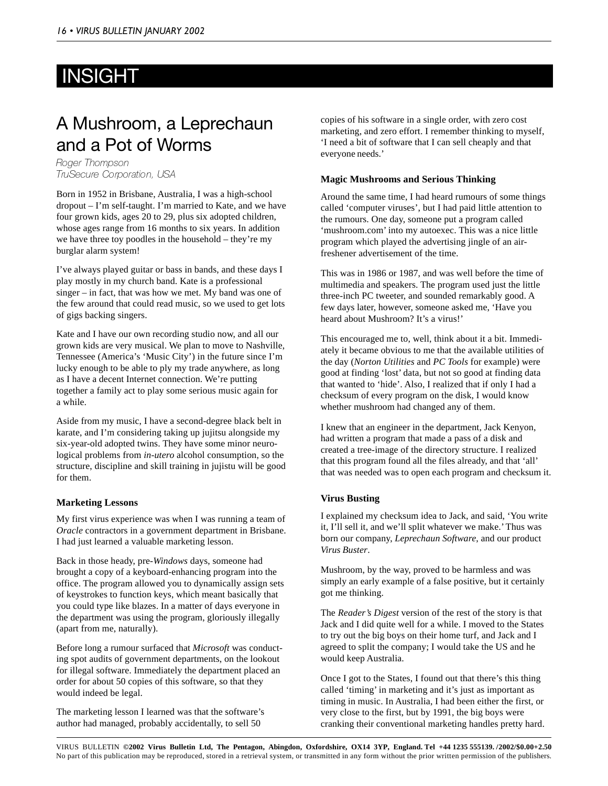# INSIGHT

# A Mushroom, a Leprechaun and a Pot of Worms

Roger Thompson TruSecure Corporation, USA

Born in 1952 in Brisbane, Australia, I was a high-school dropout – I'm self-taught. I'm married to Kate, and we have four grown kids, ages 20 to 29, plus six adopted children, whose ages range from 16 months to six years. In addition we have three toy poodles in the household – they're my burglar alarm system!

I've always played guitar or bass in bands, and these days I play mostly in my church band. Kate is a professional singer – in fact, that was how we met. My band was one of the few around that could read music, so we used to get lots of gigs backing singers.

Kate and I have our own recording studio now, and all our grown kids are very musical. We plan to move to Nashville, Tennessee (America's 'Music City') in the future since I'm lucky enough to be able to ply my trade anywhere, as long as I have a decent Internet connection. We're putting together a family act to play some serious music again for a while.

Aside from my music, I have a second-degree black belt in karate, and I'm considering taking up jujitsu alongside my six-year-old adopted twins. They have some minor neurological problems from *in-utero* alcohol consumption, so the structure, discipline and skill training in jujistu will be good for them.

#### **Marketing Lessons**

My first virus experience was when I was running a team of *Oracle* contractors in a government department in Brisbane. I had just learned a valuable marketing lesson.

Back in those heady, pre-*Windows* days, someone had brought a copy of a keyboard-enhancing program into the office. The program allowed you to dynamically assign sets of keystrokes to function keys, which meant basically that you could type like blazes. In a matter of days everyone in the department was using the program, gloriously illegally (apart from me, naturally).

Before long a rumour surfaced that *Microsoft* was conducting spot audits of government departments, on the lookout for illegal software. Immediately the department placed an order for about 50 copies of this software, so that they would indeed be legal.

The marketing lesson I learned was that the software's author had managed, probably accidentally, to sell 50

copies of his software in a single order, with zero cost marketing, and zero effort. I remember thinking to myself, 'I need a bit of software that I can sell cheaply and that everyone needs.'

#### **Magic Mushrooms and Serious Thinking**

Around the same time, I had heard rumours of some things called 'computer viruses', but I had paid little attention to the rumours. One day, someone put a program called 'mushroom.com' into my autoexec. This was a nice little program which played the advertising jingle of an airfreshener advertisement of the time.

This was in 1986 or 1987, and was well before the time of multimedia and speakers. The program used just the little three-inch PC tweeter, and sounded remarkably good. A few days later, however, someone asked me, 'Have you heard about Mushroom? It's a virus!'

This encouraged me to, well, think about it a bit. Immediately it became obvious to me that the available utilities of the day (*Norton Utilities* and *PC Tools* for example) were good at finding 'lost' data, but not so good at finding data that wanted to 'hide'. Also, I realized that if only I had a checksum of every program on the disk, I would know whether mushroom had changed any of them.

I knew that an engineer in the department, Jack Kenyon, had written a program that made a pass of a disk and created a tree-image of the directory structure. I realized that this program found all the files already, and that 'all' that was needed was to open each program and checksum it.

#### **Virus Busting**

I explained my checksum idea to Jack, and said, 'You write it, I'll sell it, and we'll split whatever we make.' Thus was born our company, *Leprechaun Software*, and our product *Virus Buster*.

Mushroom, by the way, proved to be harmless and was simply an early example of a false positive, but it certainly got me thinking.

The *Reader's Digest* version of the rest of the story is that Jack and I did quite well for a while. I moved to the States to try out the big boys on their home turf, and Jack and I agreed to split the company; I would take the US and he would keep Australia.

Once I got to the States, I found out that there's this thing called 'timing' in marketing and it's just as important as timing in music. In Australia, I had been either the first, or very close to the first, but by 1991, the big boys were cranking their conventional marketing handles pretty hard.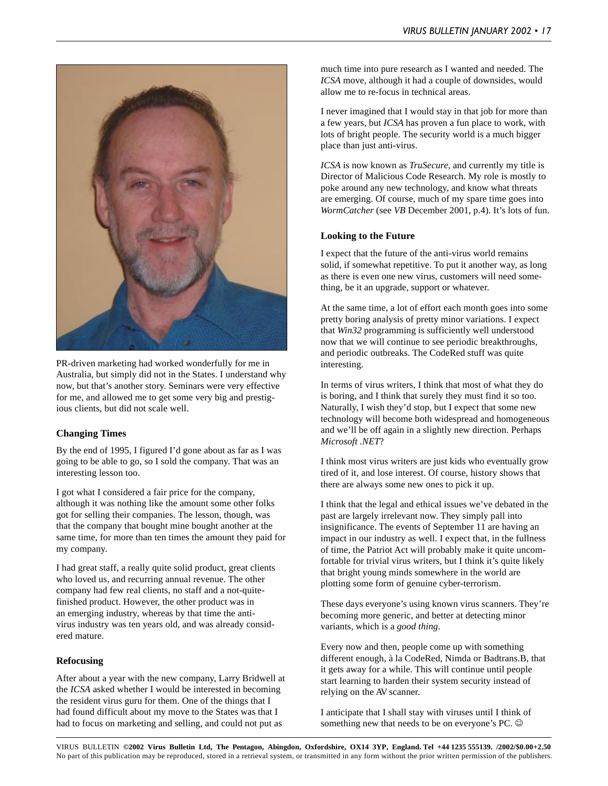

PR-driven marketing had worked wonderfully for me in Australia, but simply did not in the States. I understand why now, but that's another story. Seminars were very effective for me, and allowed me to get some very big and prestigious clients, but did not scale well.

#### **Changing Times**

By the end of 1995, I figured I'd gone about as far as I was going to be able to go, so I sold the company. That was an interesting lesson too.

I got what I considered a fair price for the company, although it was nothing like the amount some other folks got for selling their companies. The lesson, though, was that the company that bought mine bought another at the same time, for more than ten times the amount they paid for my company.

I had great staff, a really quite solid product, great clients who loved us, and recurring annual revenue. The other company had few real clients, no staff and a not-quitefinished product. However, the other product was in an emerging industry, whereas by that time the antivirus industry was ten years old, and was already considered mature.

#### **Refocusing**

After about a year with the new company, Larry Bridwell at the *ICSA* asked whether I would be interested in becoming the resident virus guru for them. One of the things that I had found difficult about my move to the States was that I had to focus on marketing and selling, and could not put as

much time into pure research as I wanted and needed. The *ICSA* move, although it had a couple of downsides, would allow me to re-focus in technical areas.

I never imagined that I would stay in that job for more than a few years, but *ICSA* has proven a fun place to work, with lots of bright people. The security world is a much bigger place than just anti-virus.

*ICSA* is now known as *TruSecure*, and currently my title is Director of Malicious Code Research. My role is mostly to poke around any new technology, and know what threats are emerging. Of course, much of my spare time goes into *WormCatcher* (see *VB* December 2001, p.4). It's lots of fun.

#### **Looking to the Future**

I expect that the future of the anti-virus world remains solid, if somewhat repetitive. To put it another way, as long as there is even one new virus, customers will need something, be it an upgrade, support or whatever.

At the same time, a lot of effort each month goes into some pretty boring analysis of pretty minor variations. I expect that *Win32* programming is sufficiently well understood now that we will continue to see periodic breakthroughs, and periodic outbreaks. The CodeRed stuff was quite interesting.

In terms of virus writers, I think that most of what they do is boring, and I think that surely they must find it so too. Naturally, I wish they'd stop, but I expect that some new technology will become both widespread and homogeneous and we'll be off again in a slightly new direction. Perhaps *Microsoft .NET*?

I think most virus writers are just kids who eventually grow tired of it, and lose interest. Of course, history shows that there are always some new ones to pick it up.

I think that the legal and ethical issues we've debated in the past are largely irrelevant now. They simply pall into insignificance. The events of September 11 are having an impact in our industry as well. I expect that, in the fullness of time, the Patriot Act will probably make it quite uncomfortable for trivial virus writers, but I think it's quite likely that bright young minds somewhere in the world are plotting some form of genuine cyber-terrorism.

These days everyone's using known virus scanners. They're becoming more generic, and better at detecting minor variants, which is a *good thing*.

Every now and then, people come up with something different enough, à la CodeRed, Nimda or Badtrans.B, that it gets away for a while. This will continue until people start learning to harden their system security instead of relying on the AV scanner.

I anticipate that I shall stay with viruses until I think of something new that needs to be on everyone's PC.  $\odot$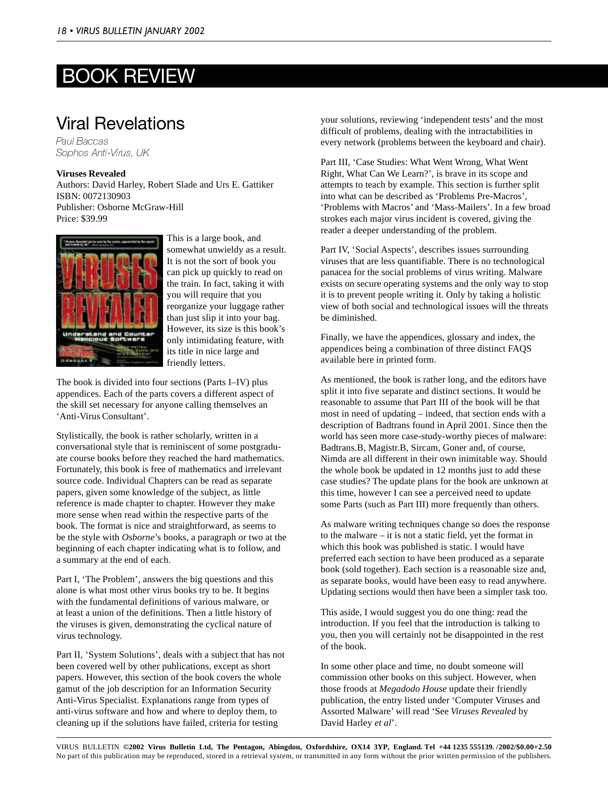# BOOK REVIEW

### Viral Revelations

Paul Baccas Sophos Anti-Virus, UK

#### **Viruses Revealed**

Authors: David Harley, Robert Slade and Urs E. Gattiker ISBN: 0072130903 Publisher: Osborne McGraw-Hill Price: \$39.99



This is a large book, and somewhat unwieldy as a result. It is not the sort of book you can pick up quickly to read on the train. In fact, taking it with you will require that you reorganize your luggage rather than just slip it into your bag. However, its size is this book's only intimidating feature, with its title in nice large and friendly letters.

The book is divided into four sections (Parts I–IV) plus appendices. Each of the parts covers a different aspect of the skill set necessary for anyone calling themselves an 'Anti-Virus Consultant'.

Stylistically, the book is rather scholarly, written in a conversational style that is reminiscent of some postgraduate course books before they reached the hard mathematics. Fortunately, this book is free of mathematics and irrelevant source code. Individual Chapters can be read as separate papers, given some knowledge of the subject, as little reference is made chapter to chapter. However they make more sense when read within the respective parts of the book. The format is nice and straightforward, as seems to be the style with *Osborne*'s books*,* a paragraph or two at the beginning of each chapter indicating what is to follow, and a summary at the end of each.

Part I, 'The Problem', answers the big questions and this alone is what most other virus books try to be. It begins with the fundamental definitions of various malware, or at least a union of the definitions. Then a little history of the viruses is given, demonstrating the cyclical nature of virus technology.

Part II, 'System Solutions', deals with a subject that has not been covered well by other publications, except as short papers. However, this section of the book covers the whole gamut of the job description for an Information Security Anti-Virus Specialist. Explanations range from types of anti-virus software and how and where to deploy them, to cleaning up if the solutions have failed, criteria for testing

your solutions, reviewing 'independent tests' and the most difficult of problems, dealing with the intractabilities in every network (problems between the keyboard and chair).

Part III, 'Case Studies: What Went Wrong, What Went Right, What Can We Learn?', is brave in its scope and attempts to teach by example. This section is further split into what can be described as 'Problems Pre-Macros', 'Problems with Macros' and 'Mass-Mailers'. In a few broad strokes each major virus incident is covered, giving the reader a deeper understanding of the problem.

Part IV, 'Social Aspects', describes issues surrounding viruses that are less quantifiable. There is no technological panacea for the social problems of virus writing. Malware exists on secure operating systems and the only way to stop it is to prevent people writing it. Only by taking a holistic view of both social and technological issues will the threats be diminished.

Finally, we have the appendices, glossary and index, the appendices being a combination of three distinct FAQS available here in printed form.

As mentioned, the book is rather long, and the editors have split it into five separate and distinct sections. It would be reasonable to assume that Part III of the book will be that most in need of updating – indeed, that section ends with a description of Badtrans found in April 2001. Since then the world has seen more case-study-worthy pieces of malware: Badtrans.B, Magistr.B, Sircam, Goner and, of course, Nimda are all different in their own inimitable way. Should the whole book be updated in 12 months just to add these case studies? The update plans for the book are unknown at this time, however I can see a perceived need to update some Parts (such as Part III) more frequently than others.

As malware writing techniques change so does the response to the malware – it is not a static field, yet the format in which this book was published is static. I would have preferred each section to have been produced as a separate book (sold together). Each section is a reasonable size and, as separate books, would have been easy to read anywhere. Updating sections would then have been a simpler task too.

This aside, I would suggest you do one thing: read the introduction. If you feel that the introduction is talking to you, then you will certainly not be disappointed in the rest of the book.

In some other place and time, no doubt someone will commission other books on this subject. However, when those froods at *Megadodo House* update their friendly publication, the entry listed under 'Computer Viruses and Assorted Malware' will read 'See *Viruses Revealed* by David Harley *et al*'.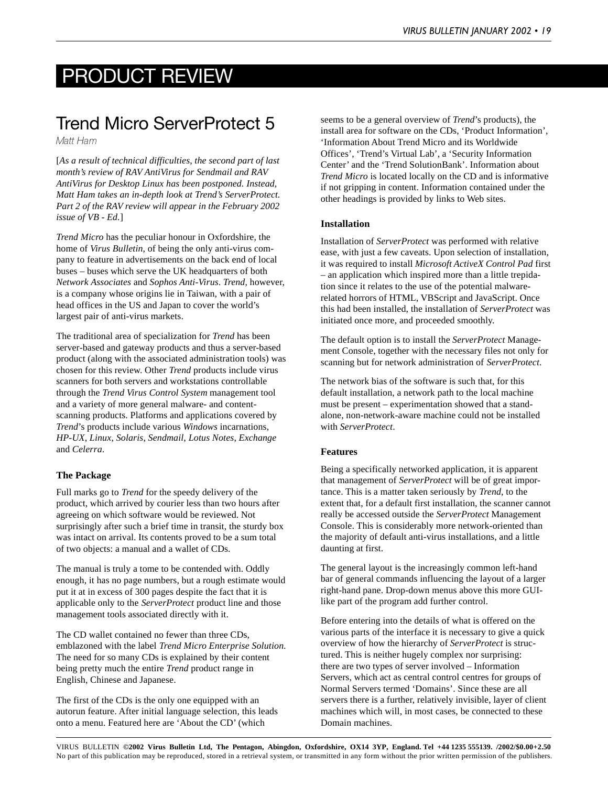# PRODUCT REVIEW

# Trend Micro ServerProtect 5

Matt Ham

[*As a result of technical difficulties, the second part of last month's review of RAV AntiVirus for Sendmail and RAV AntiVirus for Desktop Linux has been postponed. Instead, Matt Ham takes an in-depth look at Trend's ServerProtect. Part 2 of the RAV review will appear in the February 2002 issue of VB - Ed.*]

*Trend Micro* has the peculiar honour in Oxfordshire, the home of *Virus Bulletin*, of being the only anti-virus company to feature in advertisements on the back end of local buses – buses which serve the UK headquarters of both *Network Associates* and *Sophos Anti-Virus*. *Trend*, however, is a company whose origins lie in Taiwan, with a pair of head offices in the US and Japan to cover the world's largest pair of anti-virus markets.

The traditional area of specialization for *Trend* has been server-based and gateway products and thus a server-based product (along with the associated administration tools) was chosen for this review. Other *Trend* products include virus scanners for both servers and workstations controllable through the *Trend Virus Control System* management tool and a variety of more general malware- and contentscanning products. Platforms and applications covered by *Trend*'s products include various *Windows* incarnations, *HP-UX*, *Linux*, *Solaris*, *Sendmail*, *Lotus Notes*, *Exchange* and *Celerra*.

#### **The Package**

Full marks go to *Trend* for the speedy delivery of the product, which arrived by courier less than two hours after agreeing on which software would be reviewed. Not surprisingly after such a brief time in transit, the sturdy box was intact on arrival. Its contents proved to be a sum total of two objects: a manual and a wallet of CDs.

The manual is truly a tome to be contended with. Oddly enough, it has no page numbers, but a rough estimate would put it at in excess of 300 pages despite the fact that it is applicable only to the *ServerProtect* product line and those management tools associated directly with it.

The CD wallet contained no fewer than three CDs, emblazoned with the label *Trend Micro Enterprise Solution*. The need for so many CDs is explained by their content being pretty much the entire *Trend* product range in English, Chinese and Japanese.

The first of the CDs is the only one equipped with an autorun feature. After initial language selection, this leads onto a menu. Featured here are 'About the CD' (which

seems to be a general overview of *Trend*'s products), the install area for software on the CDs, 'Product Information', 'Information About Trend Micro and its Worldwide Offices', 'Trend's Virtual Lab', a 'Security Information Center' and the 'Trend SolutionBank'. Information about *Trend Micro* is located locally on the CD and is informative if not gripping in content. Information contained under the other headings is provided by links to Web sites.

#### **Installation**

Installation of *ServerProtect* was performed with relative ease, with just a few caveats. Upon selection of installation, it was required to install *Microsoft ActiveX Control Pad* first – an application which inspired more than a little trepidation since it relates to the use of the potential malwarerelated horrors of HTML, VBScript and JavaScript. Once this had been installed, the installation of *ServerProtect* was initiated once more, and proceeded smoothly.

The default option is to install the *ServerProtect* Management Console, together with the necessary files not only for scanning but for network administration of *ServerProtect*.

The network bias of the software is such that, for this default installation, a network path to the local machine must be present – experimentation showed that a standalone, non-network-aware machine could not be installed with *ServerProtect*.

#### **Features**

Being a specifically networked application, it is apparent that management of *ServerProtect* will be of great importance. This is a matter taken seriously by *Trend*, to the extent that, for a default first installation, the scanner cannot really be accessed outside the *ServerProtect* Management Console. This is considerably more network-oriented than the majority of default anti-virus installations, and a little daunting at first.

The general layout is the increasingly common left-hand bar of general commands influencing the layout of a larger right-hand pane. Drop-down menus above this more GUIlike part of the program add further control.

Before entering into the details of what is offered on the various parts of the interface it is necessary to give a quick overview of how the hierarchy of *ServerProtect* is structured. This is neither hugely complex nor surprising: there are two types of server involved – Information Servers, which act as central control centres for groups of Normal Servers termed 'Domains'. Since these are all servers there is a further, relatively invisible, layer of client machines which will, in most cases, be connected to these Domain machines.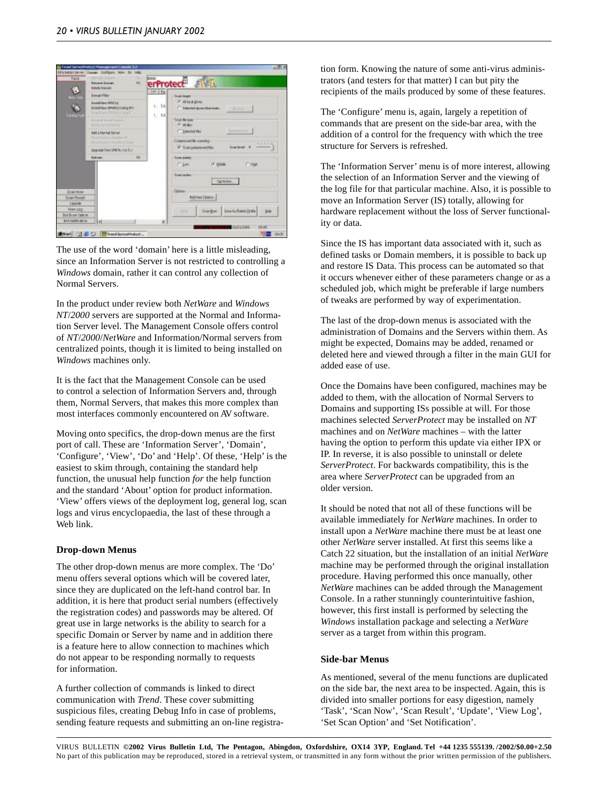

The use of the word 'domain' here is a little misleading, since an Information Server is not restricted to controlling a *Windows* domain, rather it can control any collection of Normal Servers.

In the product under review both *NetWare* and *Windows NT*/*2000* servers are supported at the Normal and Information Server level. The Management Console offers control of *NT*/*2000*/*NetWare* and Information/Normal servers from centralized points, though it is limited to being installed on *Windows* machines only.

It is the fact that the Management Console can be used to control a selection of Information Servers and, through them, Normal Servers, that makes this more complex than most interfaces commonly encountered on AV software.

Moving onto specifics, the drop-down menus are the first port of call. These are 'Information Server', 'Domain', 'Configure', 'View', 'Do' and 'Help'. Of these, 'Help' is the easiest to skim through, containing the standard help function, the unusual help function *for* the help function and the standard 'About' option for product information. 'View' offers views of the deployment log, general log, scan logs and virus encyclopaedia, the last of these through a Web link.

#### **Drop-down Menus**

The other drop-down menus are more complex. The 'Do' menu offers several options which will be covered later, since they are duplicated on the left-hand control bar. In addition, it is here that product serial numbers (effectively the registration codes) and passwords may be altered. Of great use in large networks is the ability to search for a specific Domain or Server by name and in addition there is a feature here to allow connection to machines which do not appear to be responding normally to requests for information.

A further collection of commands is linked to direct communication with *Trend*. These cover submitting suspicious files, creating Debug Info in case of problems, sending feature requests and submitting an on-line registration form. Knowing the nature of some anti-virus administrators (and testers for that matter) I can but pity the recipients of the mails produced by some of these features.

The 'Configure' menu is, again, largely a repetition of commands that are present on the side-bar area, with the addition of a control for the frequency with which the tree structure for Servers is refreshed.

The 'Information Server' menu is of more interest, allowing the selection of an Information Server and the viewing of the log file for that particular machine. Also, it is possible to move an Information Server (IS) totally, allowing for hardware replacement without the loss of Server functionality or data.

Since the IS has important data associated with it, such as defined tasks or Domain members, it is possible to back up and restore IS Data. This process can be automated so that it occurs whenever either of these parameters change or as a scheduled job, which might be preferable if large numbers of tweaks are performed by way of experimentation.

The last of the drop-down menus is associated with the administration of Domains and the Servers within them. As might be expected, Domains may be added, renamed or deleted here and viewed through a filter in the main GUI for added ease of use.

Once the Domains have been configured, machines may be added to them, with the allocation of Normal Servers to Domains and supporting ISs possible at will. For those machines selected *ServerProtect* may be installed on *NT* machines and on *NetWare* machines – with the latter having the option to perform this update via either IPX or IP. In reverse, it is also possible to uninstall or delete *ServerProtect*. For backwards compatibility, this is the area where *ServerProtect* can be upgraded from an older version.

It should be noted that not all of these functions will be available immediately for *NetWare* machines. In order to install upon a *NetWare* machine there must be at least one other *NetWare* server installed. At first this seems like a Catch 22 situation, but the installation of an initial *NetWare* machine may be performed through the original installation procedure. Having performed this once manually, other *NetWare* machines can be added through the Management Console. In a rather stunningly counterintuitive fashion, however, this first install is performed by selecting the *Windows* installation package and selecting a *NetWare* server as a target from within this program.

#### **Side-bar Menus**

As mentioned, several of the menu functions are duplicated on the side bar, the next area to be inspected. Again, this is divided into smaller portions for easy digestion, namely 'Task', 'Scan Now', 'Scan Result', 'Update', 'View Log', 'Set Scan Option' and 'Set Notification'.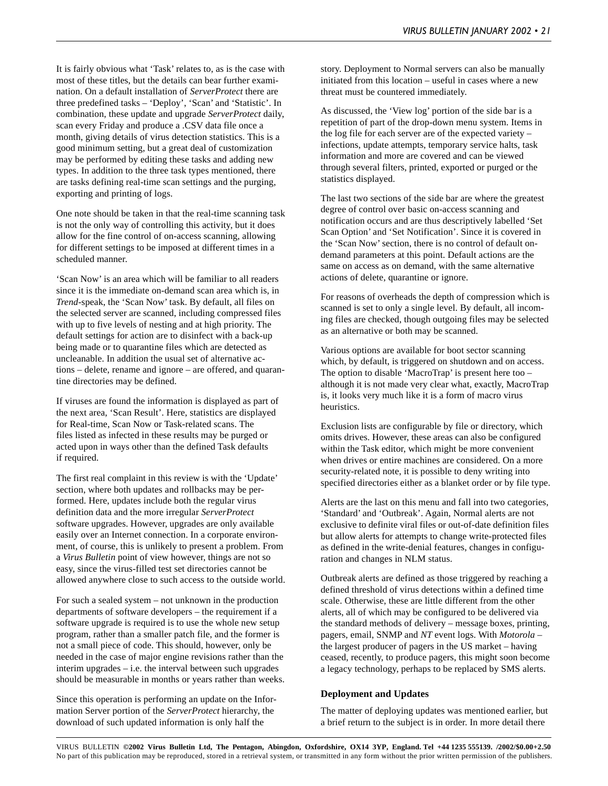It is fairly obvious what 'Task' relates to, as is the case with most of these titles, but the details can bear further examination. On a default installation of *ServerProtect* there are three predefined tasks – 'Deploy', 'Scan' and 'Statistic'. In combination, these update and upgrade *ServerProtect* daily, scan every Friday and produce a .CSV data file once a month, giving details of virus detection statistics. This is a good minimum setting, but a great deal of customization may be performed by editing these tasks and adding new types. In addition to the three task types mentioned, there are tasks defining real-time scan settings and the purging, exporting and printing of logs.

One note should be taken in that the real-time scanning task is not the only way of controlling this activity, but it does allow for the fine control of on-access scanning, allowing for different settings to be imposed at different times in a scheduled manner.

'Scan Now' is an area which will be familiar to all readers since it is the immediate on-demand scan area which is, in *Trend*-speak, the 'Scan Now' task. By default, all files on the selected server are scanned, including compressed files with up to five levels of nesting and at high priority. The default settings for action are to disinfect with a back-up being made or to quarantine files which are detected as uncleanable. In addition the usual set of alternative actions – delete, rename and ignore – are offered, and quarantine directories may be defined.

If viruses are found the information is displayed as part of the next area, 'Scan Result'. Here, statistics are displayed for Real-time, Scan Now or Task-related scans. The files listed as infected in these results may be purged or acted upon in ways other than the defined Task defaults if required.

The first real complaint in this review is with the 'Update' section, where both updates and rollbacks may be performed. Here, updates include both the regular virus definition data and the more irregular *ServerProtect* software upgrades. However, upgrades are only available easily over an Internet connection. In a corporate environment, of course, this is unlikely to present a problem. From a *Virus Bulletin* point of view however, things are not so easy, since the virus-filled test set directories cannot be allowed anywhere close to such access to the outside world.

For such a sealed system – not unknown in the production departments of software developers – the requirement if a software upgrade is required is to use the whole new setup program, rather than a smaller patch file, and the former is not a small piece of code. This should, however, only be needed in the case of major engine revisions rather than the interim upgrades – i.e. the interval between such upgrades should be measurable in months or years rather than weeks.

Since this operation is performing an update on the Information Server portion of the *ServerProtect* hierarchy, the download of such updated information is only half the

story. Deployment to Normal servers can also be manually initiated from this location – useful in cases where a new threat must be countered immediately.

As discussed, the 'View log' portion of the side bar is a repetition of part of the drop-down menu system. Items in the log file for each server are of the expected variety – infections, update attempts, temporary service halts, task information and more are covered and can be viewed through several filters, printed, exported or purged or the statistics displayed.

The last two sections of the side bar are where the greatest degree of control over basic on-access scanning and notification occurs and are thus descriptively labelled 'Set Scan Option' and 'Set Notification'. Since it is covered in the 'Scan Now' section, there is no control of default ondemand parameters at this point. Default actions are the same on access as on demand, with the same alternative actions of delete, quarantine or ignore.

For reasons of overheads the depth of compression which is scanned is set to only a single level. By default, all incoming files are checked, though outgoing files may be selected as an alternative or both may be scanned.

Various options are available for boot sector scanning which, by default, is triggered on shutdown and on access. The option to disable 'MacroTrap' is present here too – although it is not made very clear what, exactly, MacroTrap is, it looks very much like it is a form of macro virus heuristics.

Exclusion lists are configurable by file or directory, which omits drives. However, these areas can also be configured within the Task editor, which might be more convenient when drives or entire machines are considered. On a more security-related note, it is possible to deny writing into specified directories either as a blanket order or by file type.

Alerts are the last on this menu and fall into two categories, 'Standard' and 'Outbreak'. Again, Normal alerts are not exclusive to definite viral files or out-of-date definition files but allow alerts for attempts to change write-protected files as defined in the write-denial features, changes in configuration and changes in NLM status.

Outbreak alerts are defined as those triggered by reaching a defined threshold of virus detections within a defined time scale. Otherwise, these are little different from the other alerts, all of which may be configured to be delivered via the standard methods of delivery – message boxes, printing, pagers, email, SNMP and *NT* event logs. With *Motorola* – the largest producer of pagers in the US market – having ceased, recently, to produce pagers, this might soon become a legacy technology, perhaps to be replaced by SMS alerts.

#### **Deployment and Updates**

The matter of deploying updates was mentioned earlier, but a brief return to the subject is in order. In more detail there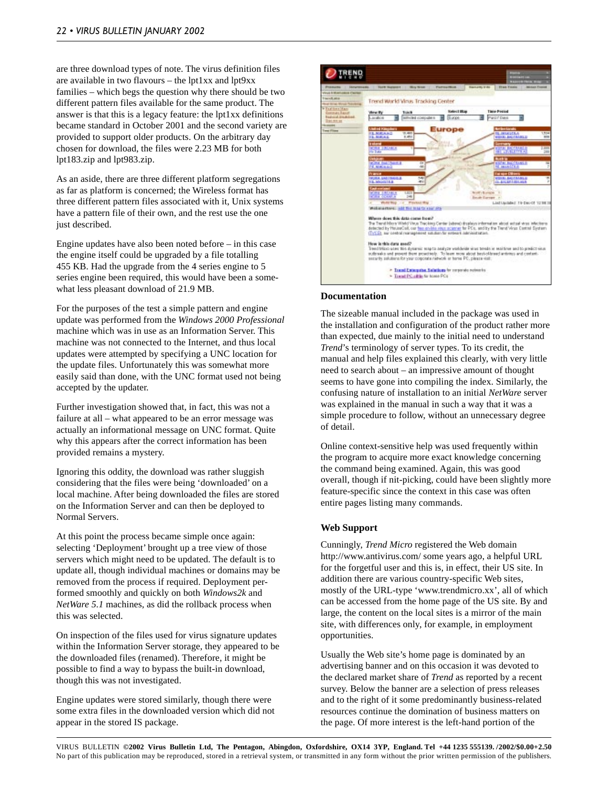are three download types of note. The virus definition files are available in two flavours – the lpt1xx and lpt9xx families – which begs the question why there should be two different pattern files available for the same product. The answer is that this is a legacy feature: the lpt1xx definitions became standard in October 2001 and the second variety are provided to support older products. On the arbitrary day chosen for download, the files were 2.23 MB for both lpt183.zip and lpt983.zip.

As an aside, there are three different platform segregations as far as platform is concerned; the Wireless format has three different pattern files associated with it, Unix systems have a pattern file of their own, and the rest use the one just described.

Engine updates have also been noted before – in this case the engine itself could be upgraded by a file totalling 455 KB. Had the upgrade from the 4 series engine to 5 series engine been required, this would have been a somewhat less pleasant download of 21.9 MB.

For the purposes of the test a simple pattern and engine update was performed from the *Windows 2000 Professional* machine which was in use as an Information Server. This machine was not connected to the Internet, and thus local updates were attempted by specifying a UNC location for the update files. Unfortunately this was somewhat more easily said than done, with the UNC format used not being accepted by the updater.

Further investigation showed that, in fact, this was not a failure at all – what appeared to be an error message was actually an informational message on UNC format. Quite why this appears after the correct information has been provided remains a mystery.

Ignoring this oddity, the download was rather sluggish considering that the files were being 'downloaded' on a local machine. After being downloaded the files are stored on the Information Server and can then be deployed to Normal Servers.

At this point the process became simple once again: selecting 'Deployment' brought up a tree view of those servers which might need to be updated. The default is to update all, though individual machines or domains may be removed from the process if required. Deployment performed smoothly and quickly on both *Windows2k* and *NetWare 5.1* machines, as did the rollback process when this was selected.

On inspection of the files used for virus signature updates within the Information Server storage, they appeared to be the downloaded files (renamed). Therefore, it might be possible to find a way to bypass the built-in download, though this was not investigated.

Engine updates were stored similarly, though there were some extra files in the downloaded version which did not appear in the stored IS package.



#### **Documentation**

The sizeable manual included in the package was used in the installation and configuration of the product rather more than expected, due mainly to the initial need to understand *Trend*'s terminology of server types. To its credit, the manual and help files explained this clearly, with very little need to search about – an impressive amount of thought seems to have gone into compiling the index. Similarly, the confusing nature of installation to an initial *NetWare* server was explained in the manual in such a way that it was a simple procedure to follow, without an unnecessary degree of detail.

Online context-sensitive help was used frequently within the program to acquire more exact knowledge concerning the command being examined. Again, this was good overall, though if nit-picking, could have been slightly more feature-specific since the context in this case was often entire pages listing many commands.

#### **Web Support**

Cunningly, *Trend Micro* registered the Web domain http://www.antivirus.com/ some years ago, a helpful URL for the forgetful user and this is, in effect, their US site. In addition there are various country-specific Web sites, mostly of the URL-type 'www.trendmicro.xx', all of which can be accessed from the home page of the US site. By and large, the content on the local sites is a mirror of the main site, with differences only, for example, in employment opportunities.

Usually the Web site's home page is dominated by an advertising banner and on this occasion it was devoted to the declared market share of *Trend* as reported by a recent survey. Below the banner are a selection of press releases and to the right of it some predominantly business-related resources continue the domination of business matters on the page. Of more interest is the left-hand portion of the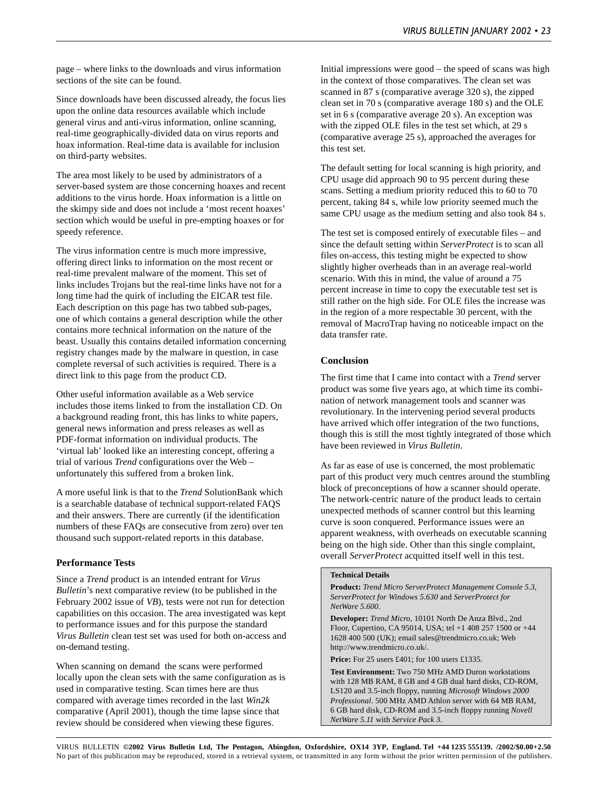page – where links to the downloads and virus information sections of the site can be found.

Since downloads have been discussed already, the focus lies upon the online data resources available which include general virus and anti-virus information, online scanning, real-time geographically-divided data on virus reports and hoax information. Real-time data is available for inclusion on third-party websites.

The area most likely to be used by administrators of a server-based system are those concerning hoaxes and recent additions to the virus horde. Hoax information is a little on the skimpy side and does not include a 'most recent hoaxes' section which would be useful in pre-empting hoaxes or for speedy reference.

The virus information centre is much more impressive, offering direct links to information on the most recent or real-time prevalent malware of the moment. This set of links includes Trojans but the real-time links have not for a long time had the quirk of including the EICAR test file. Each description on this page has two tabbed sub-pages, one of which contains a general description while the other contains more technical information on the nature of the beast. Usually this contains detailed information concerning registry changes made by the malware in question, in case complete reversal of such activities is required. There is a direct link to this page from the product CD.

Other useful information available as a Web service includes those items linked to from the installation CD. On a background reading front, this has links to white papers, general news information and press releases as well as PDF-format information on individual products. The 'virtual lab' looked like an interesting concept, offering a trial of various *Trend* configurations over the Web – unfortunately this suffered from a broken link.

A more useful link is that to the *Trend* SolutionBank which is a searchable database of technical support-related FAQS and their answers. There are currently (if the identification numbers of these FAQs are consecutive from zero) over ten thousand such support-related reports in this database.

#### **Performance Tests**

Since a *Trend* product is an intended entrant for *Virus Bulletin*'s next comparative review (to be published in the February 2002 issue of *VB*), tests were not run for detection capabilities on this occasion. The area investigated was kept to performance issues and for this purpose the standard *Virus Bulletin* clean test set was used for both on-access and on-demand testing.

When scanning on demand the scans were performed locally upon the clean sets with the same configuration as is used in comparative testing. Scan times here are thus compared with average times recorded in the last *Win2k* comparative (April 2001), though the time lapse since that review should be considered when viewing these figures.

Initial impressions were good – the speed of scans was high in the context of those comparatives. The clean set was scanned in 87 s (comparative average 320 s), the zipped clean set in 70 s (comparative average 180 s) and the OLE set in 6 s (comparative average 20 s). An exception was with the zipped OLE files in the test set which, at 29 s (comparative average 25 s), approached the averages for this test set.

The default setting for local scanning is high priority, and CPU usage did approach 90 to 95 percent during these scans. Setting a medium priority reduced this to 60 to 70 percent, taking 84 s, while low priority seemed much the same CPU usage as the medium setting and also took 84 s.

The test set is composed entirely of executable files – and since the default setting within *ServerProtect* is to scan all files on-access, this testing might be expected to show slightly higher overheads than in an average real-world scenario. With this in mind, the value of around a 75 percent increase in time to copy the executable test set is still rather on the high side. For OLE files the increase was in the region of a more respectable 30 percent, with the removal of MacroTrap having no noticeable impact on the data transfer rate.

#### **Conclusion**

The first time that I came into contact with a *Trend* server product was some five years ago, at which time its combination of network management tools and scanner was revolutionary. In the intervening period several products have arrived which offer integration of the two functions, though this is still the most tightly integrated of those which have been reviewed in *Virus Bulletin*.

As far as ease of use is concerned, the most problematic part of this product very much centres around the stumbling block of preconceptions of how a scanner should operate. The network-centric nature of the product leads to certain unexpected methods of scanner control but this learning curve is soon conquered. Performance issues were an apparent weakness, with overheads on executable scanning being on the high side. Other than this single complaint, overall *ServerProtect* acquitted itself well in this test.

#### **Technical Details**

**Product:** *Trend Micro ServerProtect Management Console 5.3*, *ServerProtect for Windows 5.630* and *ServerProtect for NetWare 5.600*.

**Developer:** *Trend Micro*, 10101 North De Anza Blvd., 2nd Floor, Cupertino, CA 95014, USA; tel +1 408 257 1500 or +44 1628 400 500 (UK); email sales@trendmicro.co.uk; Web http://www.trendmicro.co.uk/.

**Price:** For 25 users £401; for 100 users £1335.

**Test Environment:** Two 750 MHz AMD Duron workstations with 128 MB RAM, 8 GB and 4 GB dual hard disks, CD-ROM, LS120 and 3.5-inch floppy, running *Microsoft Windows 2000 Professional*. 500 MHz AMD Athlon server with 64 MB RAM, 6 GB hard disk, CD-ROM and 3.5-inch floppy running *Novell NetWare 5.11* with *Service Pack 3*.